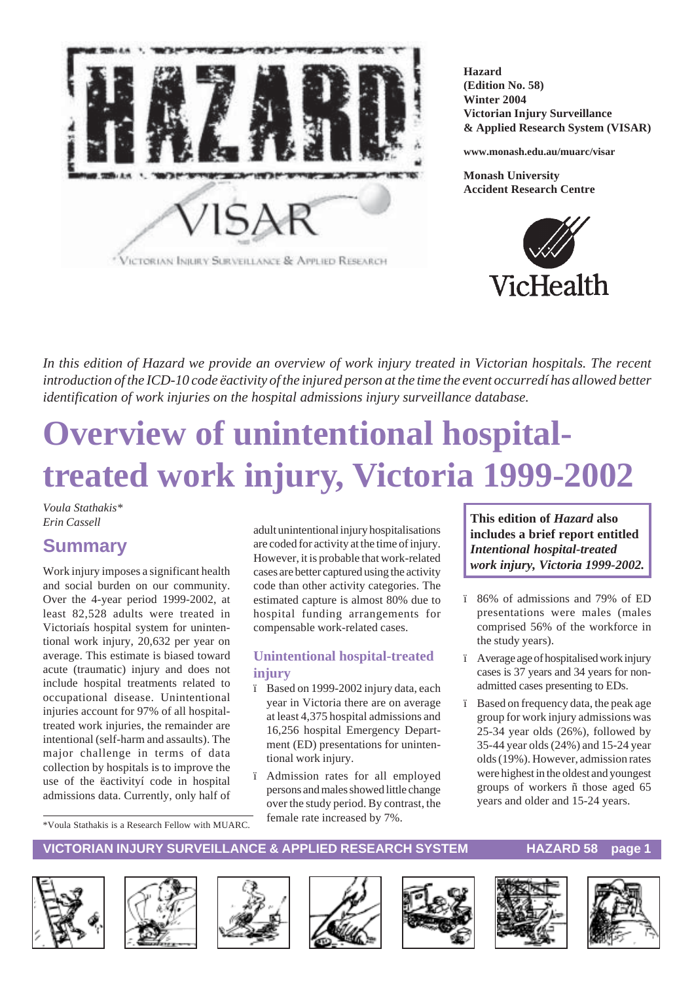

**Hazard (Edition No. 58) Winter 2004 Victorian Injury Surveillance & Applied Research System (VISAR)**

**www.monash.edu.au/muarc/visar**

**Monash University Accident Research Centre**



*In this edition of Hazard we provide an overview of work injury treated in Victorian hospitals. The recent introduction of the ICD-10 code ëactivity of the injured person at the time the event occurredí has allowed better identification of work injuries on the hospital admissions injury surveillance database.*

# **Overview of unintentional hospitaltreated work injury, Victoria 1999-2002**

*Voula Stathakis\* Erin Cassell*

# **Summary**

Work injury imposes a significant health and social burden on our community. Over the 4-year period 1999-2002, at least 82,528 adults were treated in Victoriaís hospital system for unintentional work injury, 20,632 per year on average. This estimate is biased toward acute (traumatic) injury and does not include hospital treatments related to occupational disease. Unintentional injuries account for 97% of all hospitaltreated work injuries, the remainder are intentional (self-harm and assaults). The major challenge in terms of data collection by hospitals is to improve the use of the ëactivityí code in hospital admissions data. Currently, only half of adult unintentional injury hospitalisations are coded for activity at the time of injury. However, it is probable that work-related cases are better captured using the activity code than other activity categories. The estimated capture is almost 80% due to hospital funding arrangements for compensable work-related cases.

#### **Unintentional hospital-treated injury**

- ï Based on 1999-2002 injury data, each year in Victoria there are on average at least 4,375 hospital admissions and 16,256 hospital Emergency Department (ED) presentations for unintentional work injury.
- ï Admission rates for all employed persons and males showed little change over the study period. By contrast, the female rate increased by 7%.

**This edition of** *Hazard* **also includes a brief report entitled** *Intentional hospital-treated work injury, Victoria 1999-2002.*

- ï 86% of admissions and 79% of ED presentations were males (males comprised 56% of the workforce in the study years).
- ï Average age of hospitalised work injury cases is 37 years and 34 years for nonadmitted cases presenting to EDs.
- ï Based on frequency data, the peak age group for work injury admissions was 25-34 year olds (26%), followed by 35-44 year olds (24%) and 15-24 year olds (19%). However, admission rates were highest in the oldest and youngest groups of workers ñ those aged 65 years and older and 15-24 years.

\*Voula Stathakis is a Research Fellow with MUARC.















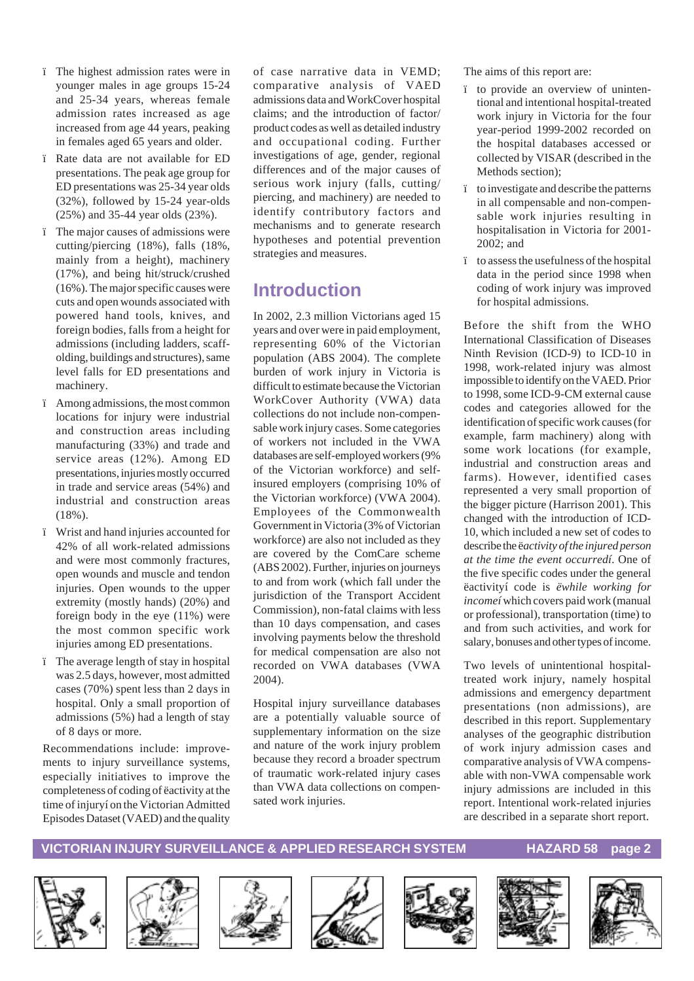- ï The highest admission rates were in younger males in age groups 15-24 and 25-34 years, whereas female admission rates increased as age increased from age 44 years, peaking in females aged 65 years and older.
- ï Rate data are not available for ED presentations. The peak age group for ED presentations was 25-34 year olds (32%), followed by 15-24 year-olds (25%) and 35-44 year olds (23%).
- ï The major causes of admissions were cutting/piercing (18%), falls (18%, mainly from a height), machinery (17%), and being hit/struck/crushed (16%). The major specific causes were cuts and open wounds associated with powered hand tools, knives, and foreign bodies, falls from a height for admissions (including ladders, scaffolding, buildings and structures), same level falls for ED presentations and machinery.
- ï Among admissions, the most common locations for injury were industrial and construction areas including manufacturing (33%) and trade and service areas (12%). Among ED presentations, injuries mostly occurred in trade and service areas (54%) and industrial and construction areas (18%).
- ï Wrist and hand injuries accounted for 42% of all work-related admissions and were most commonly fractures, open wounds and muscle and tendon injuries. Open wounds to the upper extremity (mostly hands) (20%) and foreign body in the eye (11%) were the most common specific work injuries among ED presentations.
- ï The average length of stay in hospital was 2.5 days, however, most admitted cases (70%) spent less than 2 days in hospital. Only a small proportion of admissions (5%) had a length of stay of 8 days or more.

Recommendations include: improvements to injury surveillance systems, especially initiatives to improve the completeness of coding of ëactivity at the time of injuryí on the Victorian Admitted Episodes Dataset (VAED) and the quality of case narrative data in VEMD; comparative analysis of VAED admissions data and WorkCover hospital claims; and the introduction of factor/ product codes as well as detailed industry and occupational coding. Further investigations of age, gender, regional differences and of the major causes of serious work injury (falls, cutting/ piercing, and machinery) are needed to identify contributory factors and mechanisms and to generate research hypotheses and potential prevention strategies and measures.

# **Introduction**

In 2002, 2.3 million Victorians aged 15 years and over were in paid employment, representing 60% of the Victorian population (ABS 2004). The complete burden of work injury in Victoria is difficult to estimate because the Victorian WorkCover Authority (VWA) data collections do not include non-compensable work injury cases. Some categories of workers not included in the VWA databases are self-employed workers (9% of the Victorian workforce) and selfinsured employers (comprising 10% of the Victorian workforce) (VWA 2004). Employees of the Commonwealth Government in Victoria (3% of Victorian workforce) are also not included as they are covered by the ComCare scheme (ABS 2002). Further, injuries on journeys to and from work (which fall under the jurisdiction of the Transport Accident Commission), non-fatal claims with less than 10 days compensation, and cases involving payments below the threshold for medical compensation are also not recorded on VWA databases (VWA 2004).

Hospital injury surveillance databases are a potentially valuable source of supplementary information on the size and nature of the work injury problem because they record a broader spectrum of traumatic work-related injury cases than VWA data collections on compensated work injuries.

The aims of this report are:

- ï to provide an overview of unintentional and intentional hospital-treated work injury in Victoria for the four year-period 1999-2002 recorded on the hospital databases accessed or collected by VISAR (described in the Methods section);
- ï to investigate and describe the patterns in all compensable and non-compensable work injuries resulting in hospitalisation in Victoria for 2001- 2002; and
- ï to assess the usefulness of the hospital data in the period since 1998 when coding of work injury was improved for hospital admissions.

Before the shift from the WHO International Classification of Diseases Ninth Revision (ICD-9) to ICD-10 in 1998, work-related injury was almost impossible to identify on the VAED. Prior to 1998, some ICD-9-CM external cause codes and categories allowed for the identification of specific work causes (for example, farm machinery) along with some work locations (for example, industrial and construction areas and farms). However, identified cases represented a very small proportion of the bigger picture (Harrison 2001). This changed with the introduction of ICD-10, which included a new set of codes to describe the ë*activity of the injured person at the time the event occurredí*. One of the five specific codes under the general ëactivityí code is *ëwhile working for incomeí* which covers paid work (manual or professional), transportation (time) to and from such activities, and work for salary, bonuses and other types of income.

Two levels of unintentional hospitaltreated work injury, namely hospital admissions and emergency department presentations (non admissions), are described in this report. Supplementary analyses of the geographic distribution of work injury admission cases and comparative analysis of VWA compensable with non-VWA compensable work injury admissions are included in this report. Intentional work-related injuries are described in a separate short report.













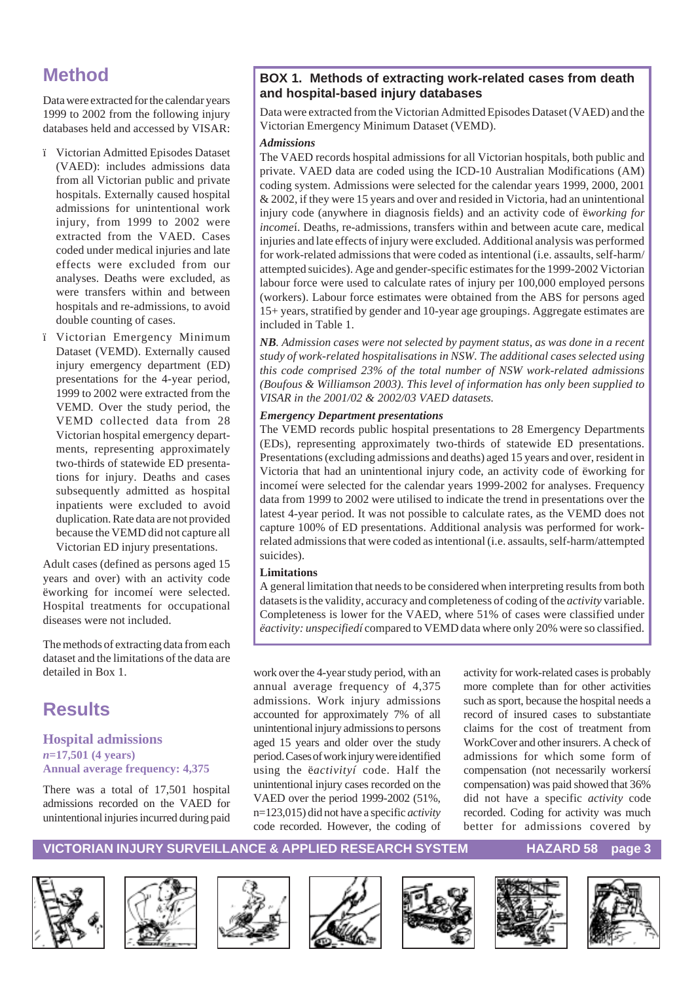# **Method**

Data were extracted for the calendar years 1999 to 2002 from the following injury databases held and accessed by VISAR:

- ï Victorian Admitted Episodes Dataset (VAED): includes admissions data from all Victorian public and private hospitals. Externally caused hospital admissions for unintentional work injury, from 1999 to 2002 were extracted from the VAED. Cases coded under medical injuries and late effects were excluded from our analyses. Deaths were excluded, as were transfers within and between hospitals and re-admissions, to avoid double counting of cases.
- ï Victorian Emergency Minimum Dataset (VEMD). Externally caused injury emergency department (ED) presentations for the 4-year period, 1999 to 2002 were extracted from the VEMD. Over the study period, the VEMD collected data from 28 Victorian hospital emergency departments, representing approximately two-thirds of statewide ED presentations for injury. Deaths and cases subsequently admitted as hospital inpatients were excluded to avoid duplication. Rate data are not provided because the VEMD did not capture all Victorian ED injury presentations.

Adult cases (defined as persons aged 15 years and over) with an activity code ëworking for incomeí were selected. Hospital treatments for occupational diseases were not included.

The methods of extracting data from each dataset and the limitations of the data are detailed in Box 1.

# **Results**

#### **Hospital admissions** *n***=17,501 (4 years) Annual average frequency: 4,375**

There was a total of 17,501 hospital admissions recorded on the VAED for unintentional injuries incurred during paid

#### **BOX 1. Methods of extracting work-related cases from death and hospital-based injury databases**

Data were extracted from the Victorian Admitted Episodes Dataset (VAED) and the Victorian Emergency Minimum Dataset (VEMD).

#### *Admissions*

The VAED records hospital admissions for all Victorian hospitals, both public and private. VAED data are coded using the ICD-10 Australian Modifications (AM) coding system. Admissions were selected for the calendar years 1999, 2000, 2001 & 2002, if they were 15 years and over and resided in Victoria, had an unintentional injury code (anywhere in diagnosis fields) and an activity code of ë*working for income*í. Deaths, re-admissions, transfers within and between acute care, medical injuries and late effects of injury were excluded. Additional analysis was performed for work-related admissions that were coded as intentional (i.e. assaults, self-harm/ attempted suicides). Age and gender-specific estimates for the 1999-2002 Victorian labour force were used to calculate rates of injury per 100,000 employed persons (workers). Labour force estimates were obtained from the ABS for persons aged 15+ years, stratified by gender and 10-year age groupings. Aggregate estimates are included in Table 1.

*NB. Admission cases were not selected by payment status, as was done in a recent study of work-related hospitalisations in NSW. The additional cases selected using this code comprised 23% of the total number of NSW work-related admissions (Boufous & Williamson 2003). This level of information has only been supplied to VISAR in the 2001/02 & 2002/03 VAED datasets.*

#### *Emergency Department presentations*

The VEMD records public hospital presentations to 28 Emergency Departments (EDs), representing approximately two-thirds of statewide ED presentations. Presentations (excluding admissions and deaths) aged 15 years and over, resident in Victoria that had an unintentional injury code, an activity code of ëworking for incomeí were selected for the calendar years 1999-2002 for analyses. Frequency data from 1999 to 2002 were utilised to indicate the trend in presentations over the latest 4-year period. It was not possible to calculate rates, as the VEMD does not capture 100% of ED presentations. Additional analysis was performed for workrelated admissions that were coded as intentional (i.e. assaults, self-harm/attempted suicides).

#### **Limitations**

A general limitation that needs to be considered when interpreting results from both datasets is the validity, accuracy and completeness of coding of the *activity* variable. Completeness is lower for the VAED, where 51% of cases were classified under *ëactivity: unspecifiedí* compared to VEMD data where only 20% were so classified.

work over the 4-year study period, with an annual average frequency of 4,375 admissions. Work injury admissions accounted for approximately 7% of all unintentional injury admissions to persons aged 15 years and older over the study period. Cases of work injury were identified using the ë*activityí* code. Half the unintentional injury cases recorded on the VAED over the period 1999-2002 (51%, n=123,015) did not have a specific *activity* code recorded. However, the coding of activity for work-related cases is probably more complete than for other activities such as sport, because the hospital needs a record of insured cases to substantiate claims for the cost of treatment from WorkCover and other insurers. A check of admissions for which some form of compensation (not necessarily workersí compensation) was paid showed that 36% did not have a specific *activity* code recorded. Coding for activity was much better for admissions covered by













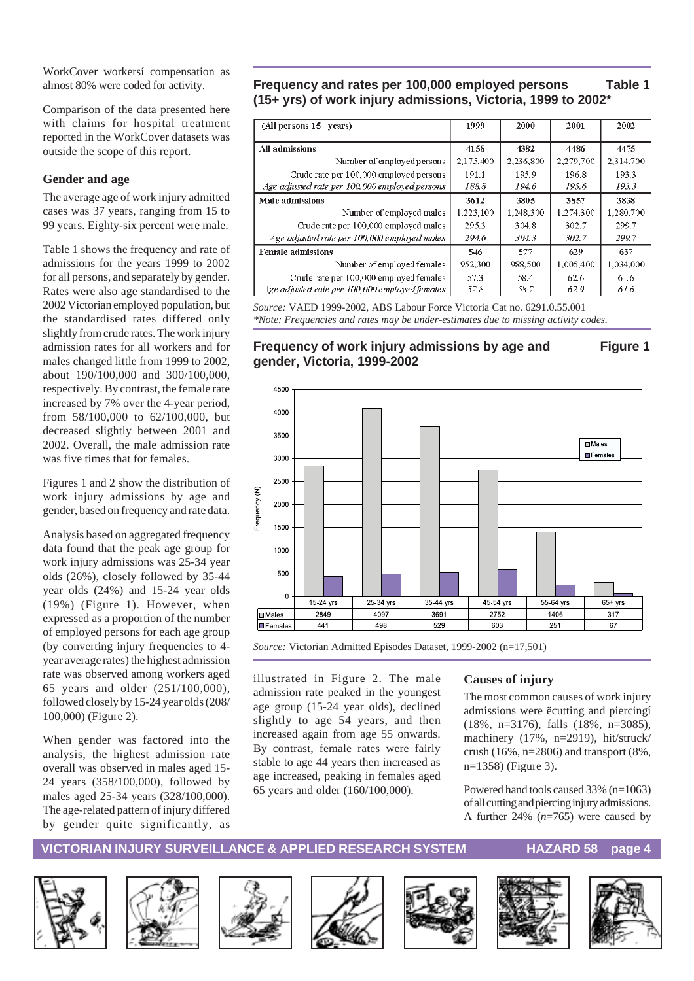WorkCover workersí compensation as almost 80% were coded for activity.

Comparison of the data presented here with claims for hospital treatment reported in the WorkCover datasets was outside the scope of this report.

#### **Gender and age**

The average age of work injury admitted cases was 37 years, ranging from 15 to 99 years. Eighty-six percent were male.

Table 1 shows the frequency and rate of admissions for the years 1999 to 2002 for all persons, and separately by gender. Rates were also age standardised to the 2002 Victorian employed population, but the standardised rates differed only slightly from crude rates. The work injury admission rates for all workers and for males changed little from 1999 to 2002, about 190/100,000 and 300/100,000, respectively. By contrast, the female rate increased by 7% over the 4-year period, from 58/100,000 to 62/100,000, but decreased slightly between 2001 and 2002. Overall, the male admission rate was five times that for females.

Figures 1 and 2 show the distribution of work injury admissions by age and gender, based on frequency and rate data.

Analysis based on aggregated frequency data found that the peak age group for work injury admissions was 25-34 year olds (26%), closely followed by 35-44 year olds (24%) and 15-24 year olds (19%) (Figure 1). However, when expressed as a proportion of the number of employed persons for each age group (by converting injury frequencies to 4 year average rates) the highest admission rate was observed among workers aged 65 years and older (251/100,000), followed closely by 15-24 year olds (208/ 100,000) (Figure 2).

When gender was factored into the analysis, the highest admission rate overall was observed in males aged 15- 24 years (358/100,000), followed by males aged 25-34 years (328/100,000). The age-related pattern of injury differed by gender quite significantly, as

#### **Frequency and rates per 100,000 employed persons Table 1 (15+ yrs) of work injury admissions, Victoria, 1999 to 2002\***

| (All persons $15+$ years)                      | 1999      | 2000      | 2001      | 2002      |
|------------------------------------------------|-----------|-----------|-----------|-----------|
|                                                |           |           |           |           |
| All admissions                                 | 4158      | 4382      | 4486      | 4475      |
| Number of employed persons                     | 2,175,400 | 2,236,800 | 2,279,700 | 2,314,700 |
| Crude rate per 100,000 employed persons        | 191.1     | 195.9     | 196.8     | 193.3     |
| Age adjusted rate per 100,000 employed persons | 188.8     | 194.6     | 195.6     | 193.3     |
| Male admissions                                | 3612      | 3805      | 3857      | 3838      |
| Number of employed males                       | 1,223,100 | 1,248,300 | 1,274,300 | 1,280,700 |
| Crude rate per 100,000 employed males          | 2953      | 304.8     | 302.7     | 299.7     |
| Age adjusted rate per 100,000 employed males   | 294.6     | 304.3     | 302.7     | 299.7     |
| <b>Female admissions</b>                       | 546       | 577       | 629       | 637       |
| Number of employed females                     | 952,300   | 988,500   | 1,005,400 | 1,034,000 |
| Crude rate per 100,000 employed females        | 57.3      | 58.4      | 62.6      | 61.6      |
| Age adjusted rate per 100,000 employed females | 57.8      | 58.7      | 62.9      | 61.6      |

*Source:* VAED 1999-2002, ABS Labour Force Victoria Cat no. 6291.0.55.001 *\*Note: Frequencies and rates may be under-estimates due to missing activity codes.*

#### **Frequency of work injury admissions by age and Figure 1 gender, Victoria, 1999-2002**



*Source:* Victorian Admitted Episodes Dataset, 1999-2002 (n=17,501)

illustrated in Figure 2. The male admission rate peaked in the youngest age group (15-24 year olds), declined slightly to age 54 years, and then increased again from age 55 onwards. By contrast, female rates were fairly stable to age 44 years then increased as age increased, peaking in females aged 65 years and older (160/100,000).

#### **Causes of injury**

The most common causes of work injury admissions were ëcutting and piercingí (18%, n=3176), falls (18%, n=3085), machinery (17%, n=2919), hit/struck/ crush  $(16\%, n=2806)$  and transport  $(8\%,$ n=1358) (Figure 3).

Powered hand tools caused 33% (n=1063) of all cutting and piercing injury admissions. A further 24% (*n*=765) were caused by













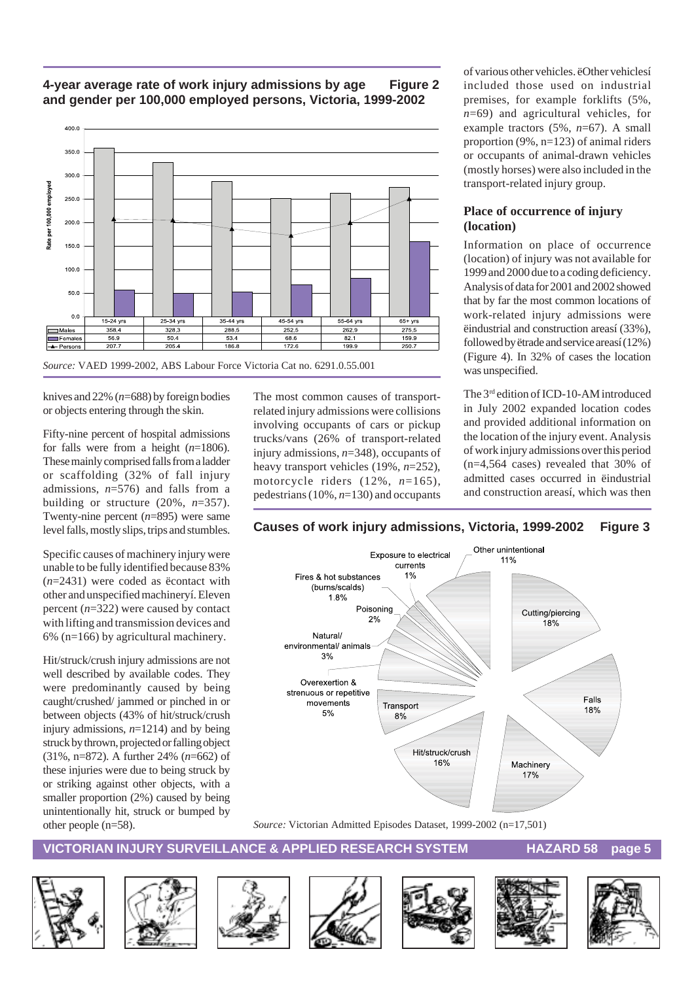#### **4-year average rate of work injury admissions by age Figure 2 and gender per 100,000 employed persons, Victoria, 1999-2002**



knives and 22% (*n*=688) by foreign bodies or objects entering through the skin.

Fifty-nine percent of hospital admissions for falls were from a height (*n*=1806). These mainly comprised falls from a ladder or scaffolding (32% of fall injury admissions, *n*=576) and falls from a building or structure  $(20\%, n=357)$ . Twenty-nine percent (*n*=895) were same level falls, mostly slips, trips and stumbles.

Specific causes of machinery injury were unable to be fully identified because 83% (*n*=2431) were coded as ëcontact with other and unspecified machineryí. Eleven percent (*n*=322) were caused by contact with lifting and transmission devices and 6% (n=166) by agricultural machinery.

Hit/struck/crush injury admissions are not well described by available codes. They were predominantly caused by being caught/crushed/ jammed or pinched in or between objects (43% of hit/struck/crush injury admissions, *n*=1214) and by being struck by thrown, projected or falling object (31%, n=872). A further 24% (*n*=662) of these injuries were due to being struck by or striking against other objects, with a smaller proportion (2%) caused by being unintentionally hit, struck or bumped by other people (n=58).

The most common causes of transportrelated injury admissions were collisions involving occupants of cars or pickup trucks/vans (26% of transport-related injury admissions, *n*=348), occupants of heavy transport vehicles (19%, *n*=252), motorcycle riders (12%, *n*=165), pedestrians (10%, *n*=130) and occupants of various other vehicles. ëOther vehiclesí included those used on industrial premises, for example forklifts (5%, *n*=69) and agricultural vehicles, for example tractors (5%, *n*=67). A small proportion (9%, n=123) of animal riders or occupants of animal-drawn vehicles (mostly horses) were also included in the transport-related injury group.

#### **Place of occurrence of injury (location)**

Information on place of occurrence (location) of injury was not available for 1999 and 2000 due to a coding deficiency. Analysis of data for 2001 and 2002 showed that by far the most common locations of work-related injury admissions were ëindustrial and construction areasí (33%), followed by ëtrade and service areasí (12%) (Figure 4). In 32% of cases the location was unspecified.

The 3<sup>rd</sup> edition of ICD-10-AM introduced in July 2002 expanded location codes and provided additional information on the location of the injury event. Analysis of work injury admissions over this period (n=4,564 cases) revealed that 30% of admitted cases occurred in ëindustrial and construction areasí, which was then





*Source:* Victorian Admitted Episodes Dataset, 1999-2002 (n=17,501)













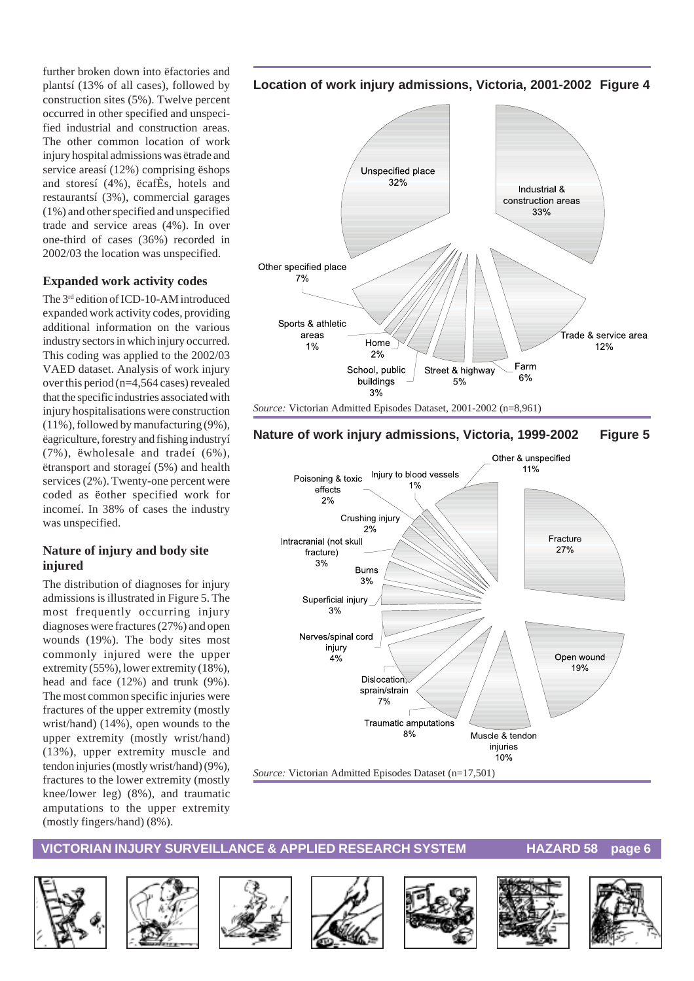further broken down into ëfactories and plantsí (13% of all cases), followed by construction sites (5%). Twelve percent occurred in other specified and unspecified industrial and construction areas. The other common location of work injury hospital admissions was ëtrade and service areasí (12%) comprising ëshops and storesí (4%), ëcafÈs, hotels and restaurantsí (3%), commercial garages (1%) and other specified and unspecified trade and service areas (4%). In over one-third of cases (36%) recorded in 2002/03 the location was unspecified.

#### **Expanded work activity codes**

The 3<sup>rd</sup> edition of ICD-10-AM introduced expanded work activity codes, providing additional information on the various industry sectors in which injury occurred. This coding was applied to the 2002/03 VAED dataset. Analysis of work injury over this period (n=4,564 cases) revealed that the specific industries associated with injury hospitalisations were construction (11%), followed by manufacturing (9%), ëagriculture, forestry and fishing industryí (7%), ëwholesale and tradeí (6%), ëtransport and storageí (5%) and health services (2%). Twenty-one percent were coded as ëother specified work for incomeí. In 38% of cases the industry was unspecified.

#### **Nature of injury and body site injured**

The distribution of diagnoses for injury admissions is illustrated in Figure 5. The most frequently occurring injury diagnoses were fractures (27%) and open wounds (19%). The body sites most commonly injured were the upper extremity (55%), lower extremity (18%), head and face (12%) and trunk (9%). The most common specific injuries were fractures of the upper extremity (mostly wrist/hand) (14%), open wounds to the upper extremity (mostly wrist/hand) (13%), upper extremity muscle and tendon injuries (mostly wrist/hand) (9%), fractures to the lower extremity (mostly knee/lower leg) (8%), and traumatic amputations to the upper extremity (mostly fingers/hand) (8%).

#### **Location of work injury admissions, Victoria, 2001-2002 Figure 4**



#### **Nature of work injury admissions, Victoria, 1999-2002 Figure 5**















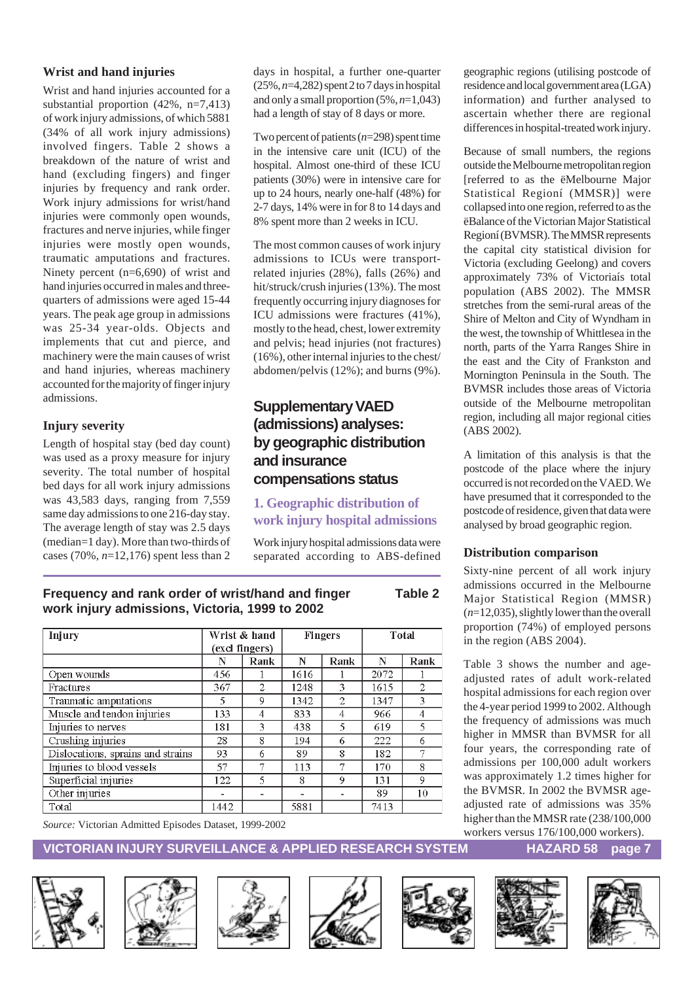#### **Wrist and hand injuries**

Wrist and hand injuries accounted for a substantial proportion (42%, n=7,413) of work injury admissions, of which 5881 (34% of all work injury admissions) involved fingers. Table 2 shows a breakdown of the nature of wrist and hand (excluding fingers) and finger injuries by frequency and rank order. Work injury admissions for wrist/hand injuries were commonly open wounds, fractures and nerve injuries, while finger injuries were mostly open wounds, traumatic amputations and fractures. Ninety percent (n=6,690) of wrist and hand injuries occurred in males and threequarters of admissions were aged 15-44 years. The peak age group in admissions was 25-34 year-olds. Objects and implements that cut and pierce, and machinery were the main causes of wrist and hand injuries, whereas machinery accounted for the majority of finger injury admissions.

#### **Injury severity**

Length of hospital stay (bed day count) was used as a proxy measure for injury severity. The total number of hospital bed days for all work injury admissions was 43,583 days, ranging from 7,559 same day admissions to one 216-day stay. The average length of stay was 2.5 days (median=1 day). More than two-thirds of cases (70%, *n*=12,176) spent less than 2 days in hospital, a further one-quarter (25%, *n*=4,282) spent 2 to 7 days in hospital and only a small proportion (5%, *n*=1,043) had a length of stay of 8 days or more.

Two percent of patients (*n*=298) spent time in the intensive care unit (ICU) of the hospital. Almost one-third of these ICU patients (30%) were in intensive care for up to 24 hours, nearly one-half (48%) for 2-7 days, 14% were in for 8 to 14 days and 8% spent more than 2 weeks in ICU.

The most common causes of work injury admissions to ICUs were transportrelated injuries (28%), falls (26%) and hit/struck/crush injuries (13%). The most frequently occurring injury diagnoses for ICU admissions were fractures (41%), mostly to the head, chest, lower extremity and pelvis; head injuries (not fractures) (16%), other internal injuries to the chest/ abdomen/pelvis (12%); and burns (9%).

#### **Supplementary VAED (admissions) analyses: by geographic distribution and insurance compensations status**

#### **1. Geographic distribution of work injury hospital admissions**

Work injury hospital admissions data were separated according to ABS-defined

Wrist & hand Total Injury **Fingers** (excl fingers)  $\overline{\mathbf{N}}$ Rank N Rank Rank  $\overline{\mathbf{N}}$ Open wounds 456  $1616$  $\frac{2072}{ }$  $\overline{1}$  $\overline{1}$  $\mathbf{1}$  $367$  $\overline{2}$  $1248$  $1615$  $\overline{2}$ Fractures 3  $\overline{9}$ Traumatic amputations  $\overline{5}$ 1342  $\overline{2}$ 1347  $\overline{\mathbf{3}}$  $\overline{133}$ Muscle and tendon injuries  $\overline{4}$  $833$  $\overline{4}$ 966  $\overline{4}$ Injuries to nerves  $\overline{181}$  $\overline{\overline{3}}$ 438  $\overline{5}$  $619$  $\overline{5}$  $\overline{28}$  $\overline{8}$ 194 222  $\overline{6}$ Crushing injuries  $\epsilon$ Dislocations, sprains and strains  $\overline{93}$  $\overline{6}$ 89  $\overline{8}$ 182 7  $\overline{57}$ 7 7 170  $\overline{8}$ Injuries to blood vessels 113  $122$  $\overline{5}$  $\overline{9}$  $\overline{9}$ Superficial injuries 131 8  $\overline{10}$ Other injuries 89  $\sim$  $\overline{\phantom{a}}$  $\mathcal{L}$  $\overline{\phantom{a}}$ 1442 7413 Total 5881

*Source:* Victorian Admitted Episodes Dataset, 1999-2002

geographic regions (utilising postcode of residence and local government area (LGA) information) and further analysed to ascertain whether there are regional differences in hospital-treated work injury.

Because of small numbers, the regions outside the Melbourne metropolitan region [referred to as the ëMelbourne Major Statistical Regioní (MMSR)] were collapsed into one region, referred to as the ëBalance of the Victorian Major Statistical Regioní (BVMSR). The MMSR represents the capital city statistical division for Victoria (excluding Geelong) and covers approximately 73% of Victoriaís total population (ABS 2002). The MMSR stretches from the semi-rural areas of the Shire of Melton and City of Wyndham in the west, the township of Whittlesea in the north, parts of the Yarra Ranges Shire in the east and the City of Frankston and Mornington Peninsula in the South. The BVMSR includes those areas of Victoria outside of the Melbourne metropolitan region, including all major regional cities (ABS 2002).

A limitation of this analysis is that the postcode of the place where the injury occurred is not recorded on the VAED. We have presumed that it corresponded to the postcode of residence, given that data were analysed by broad geographic region.

#### **Distribution comparison**

Sixty-nine percent of all work injury admissions occurred in the Melbourne Major Statistical Region (MMSR) (*n*=12,035), slightly lower than the overall proportion (74%) of employed persons in the region (ABS 2004).

Table 3 shows the number and ageadjusted rates of adult work-related hospital admissions for each region over the 4-year period 1999 to 2002. Although the frequency of admissions was much higher in MMSR than BVMSR for all four years, the corresponding rate of admissions per 100,000 adult workers was approximately 1.2 times higher for the BVMSR. In 2002 the BVMSR ageadjusted rate of admissions was 35% higher than the MMSR rate (238/100,000 workers versus 176/100,000 workers).

#### **VICTORIAN INJURY SURVEILLANCE & APPLIED RESEARCH SYSTEM HAZARD 58 page 7**















**Frequency and rank order of wrist/hand and finger Table 2 work injury admissions, Victoria, 1999 to 2002**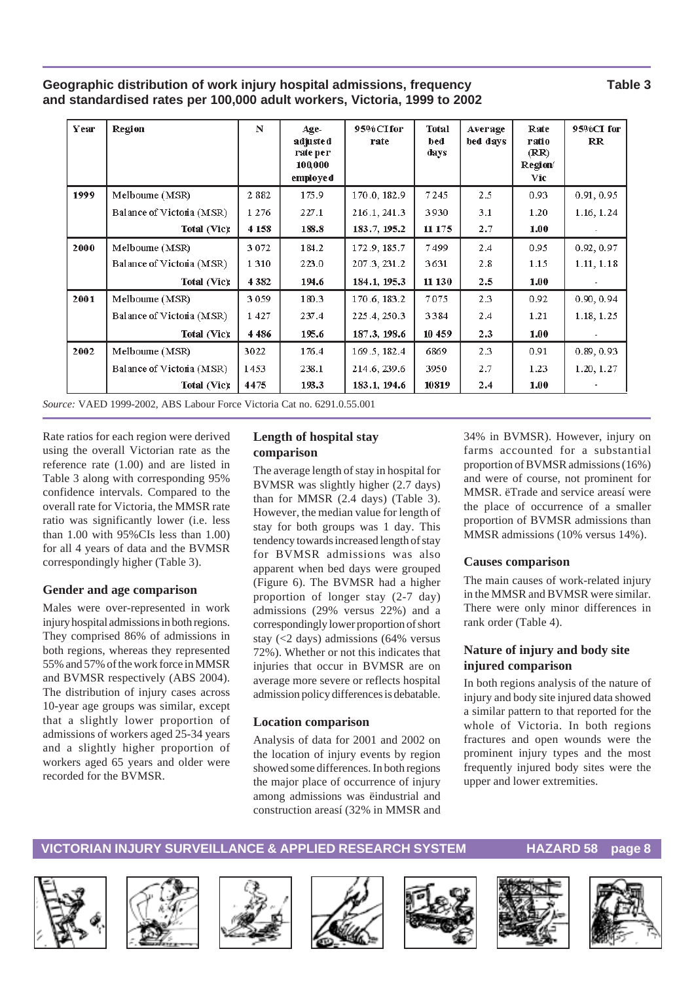#### **Geographic distribution of work injury hospital admissions, frequency Table 3 and standardised rates per 100,000 adult workers, Victoria, 1999 to 2002**

| Year | Region                    | N       | $Age-$<br>adjusted<br>rate per<br>100,000<br>employed | 95%CIfor<br>rate | <b>Total</b><br>bed<br>days | Average<br>bed days | Rate<br>ratio<br>(RR)<br>Region/<br>Vic- | 95%CI for<br>$_{\rm RR}$ |
|------|---------------------------|---------|-------------------------------------------------------|------------------|-----------------------------|---------------------|------------------------------------------|--------------------------|
| 1999 | Melbourne (MSR)           | 2882    | 175.9                                                 | 170.0, 182.9     | 7245                        | 2.5                 | 0.93                                     | 0.91, 0.95               |
|      | Balance of Victoria (MSR) | 1 2 7 6 | 227.1                                                 | 216.1, 241.3     | 3930                        | 3.1                 | 1.20                                     | 1.16, 1.24               |
|      | Total (Vic):              | 4 1 5 8 | 188.8                                                 | 183.7, 195.2     | 11 175                      | 2.7                 | 1.00                                     |                          |
| 2000 | Melboume (MSR)            | 3072    | 184.2                                                 | 172.9, 185.7     | 7499                        | 2.4                 | 0.95                                     | 0.92, 0.97               |
|      | Balance of Victoria (MSR) | 1 3 1 0 | 223.0                                                 | 207.3, 231.2     | 3631                        | 2.8                 | 1.15                                     | 1.11, 1.18               |
|      | Total (Vic):              | 4 3 8 2 | 194.6                                                 | 184.1, 195.3     | 11 130                      | 2.5                 | 1.00                                     |                          |
| 2001 | Melboume (MSR)            | 3059    | 180.3                                                 | 170.6, 183.2     | 7075                        | 2.3                 | 0.92                                     | 0.90, 0.94               |
|      | Balance of Victoria (MSR) | 1427    | 237.4                                                 | 225.4, 250.3     | 3384                        | 2.4                 | 1.21                                     | 1.18, 1.25               |
|      | Total (Vic):              | 4486    | 195.6                                                 | 187.3, 198.6     | 10 459                      | 2.3                 | 1.00                                     |                          |
| 2002 | Melboume (MSR)            | 3022    | 176.4                                                 | 169.5, 182.4     | 6869                        | 2.3                 | 0.91                                     | 0.89, 0.93               |
|      | Balance of Victoria (MSR) | 1453    | 238.1                                                 | 214.6, 239.6     | 3950                        | 2.7                 | 1.23                                     | 1.20, 1.27               |
|      | Total (Vic):              | 4475    | 193.3                                                 | 183.1, 194.6     | 10819                       | 2.4                 | 1.00                                     |                          |

*Source:* VAED 1999-2002, ABS Labour Force Victoria Cat no. 6291.0.55.001

Rate ratios for each region were derived using the overall Victorian rate as the reference rate (1.00) and are listed in Table 3 along with corresponding 95% confidence intervals. Compared to the overall rate for Victoria, the MMSR rate ratio was significantly lower (i.e. less than 1.00 with 95%CIs less than 1.00) for all 4 years of data and the BVMSR correspondingly higher (Table 3).

#### **Gender and age comparison**

Males were over-represented in work injury hospital admissions in both regions. They comprised 86% of admissions in both regions, whereas they represented 55% and 57% of the work force in MMSR and BVMSR respectively (ABS 2004). The distribution of injury cases across 10-year age groups was similar, except that a slightly lower proportion of admissions of workers aged 25-34 years and a slightly higher proportion of workers aged 65 years and older were recorded for the BVMSR.

#### **Length of hospital stay comparison**

The average length of stay in hospital for BVMSR was slightly higher (2.7 days) than for MMSR (2.4 days) (Table 3). However, the median value for length of stay for both groups was 1 day. This tendency towards increased length of stay for BVMSR admissions was also apparent when bed days were grouped (Figure 6). The BVMSR had a higher proportion of longer stay (2-7 day) admissions (29% versus 22%) and a correspondingly lower proportion of short stay (<2 days) admissions (64% versus 72%). Whether or not this indicates that injuries that occur in BVMSR are on average more severe or reflects hospital admission policy differences is debatable.

#### **Location comparison**

Analysis of data for 2001 and 2002 on the location of injury events by region showed some differences. In both regions the major place of occurrence of injury among admissions was ëindustrial and construction areasí (32% in MMSR and

34% in BVMSR). However, injury on farms accounted for a substantial proportion of BVMSR admissions (16%) and were of course, not prominent for MMSR. ëTrade and service areasí were the place of occurrence of a smaller proportion of BVMSR admissions than MMSR admissions (10% versus 14%).

#### **Causes comparison**

The main causes of work-related injury in the MMSR and BVMSR were similar. There were only minor differences in rank order (Table 4).

#### **Nature of injury and body site injured comparison**

In both regions analysis of the nature of injury and body site injured data showed a similar pattern to that reported for the whole of Victoria. In both regions fractures and open wounds were the prominent injury types and the most frequently injured body sites were the upper and lower extremities.













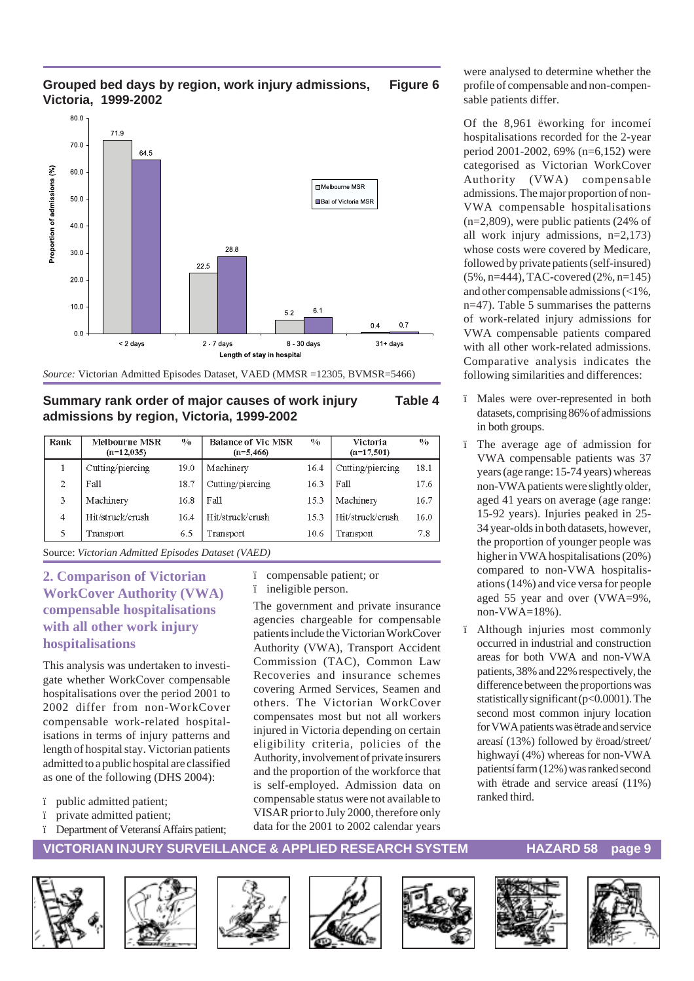

#### **Grouped bed days by region, work injury admissions, Figure 6 Victoria, 1999-2002**



#### **Summary rank order of major causes of work injury Table 4 admissions by region, Victoria, 1999-2002**

| Rank           | <b>Melbourne MSR</b><br>$(n=12,035)$ | $\frac{0}{0}$ | <b>Balance of Vic MSR</b><br>$(n=5,466)$ | $\frac{0}{0}$ | Victoria<br>$(n=17,501)$ | $\frac{0}{0}$ |
|----------------|--------------------------------------|---------------|------------------------------------------|---------------|--------------------------|---------------|
|                | Cutting/piercing                     | 19.0          | Machinery                                | 16.4          | Cutting/piercing         | 18.1          |
| $\overline{c}$ | Fall                                 | 18.7          | Cutting/piercing                         | 16.3          | Fall                     | 17.6          |
| 3              | Machinery                            | 16.8          | Fall                                     | 15.3          | Machinery                | 16.7          |
| $\overline{4}$ | Hit/struck/crush                     | 16.4          | Hit/struck/crush                         | 15.3          | Hit/struck/crush         | 16.0          |
| 5              | Transport                            | 6.5           | Transport                                | 10.6          | Transport                | 7.8           |

Source: *Victorian Admitted Episodes Dataset (VAED)*

#### **2. Comparison of Victorian WorkCover Authority (VWA) compensable hospitalisations with all other work injury hospitalisations**

This analysis was undertaken to investigate whether WorkCover compensable hospitalisations over the period 2001 to 2002 differ from non-WorkCover compensable work-related hospitalisations in terms of injury patterns and length of hospital stay. Victorian patients admitted to a public hospital are classified as one of the following (DHS 2004):

- ï public admitted patient;
- ï private admitted patient;
- ï Department of Veteransí Affairs patient;

ï compensable patient; or ï ineligible person.

The government and private insurance agencies chargeable for compensable patients include the Victorian WorkCover Authority (VWA), Transport Accident Commission (TAC), Common Law Recoveries and insurance schemes covering Armed Services, Seamen and others. The Victorian WorkCover compensates most but not all workers injured in Victoria depending on certain eligibility criteria, policies of the Authority, involvement of private insurers and the proportion of the workforce that is self-employed. Admission data on compensable status were not available to VISAR prior to July 2000, therefore only data for the 2001 to 2002 calendar years

were analysed to determine whether the profile of compensable and non-compensable patients differ.

Of the 8,961 ëworking for incomeí hospitalisations recorded for the 2-year period 2001-2002, 69% (n=6,152) were categorised as Victorian WorkCover Authority (VWA) compensable admissions. The major proportion of non-VWA compensable hospitalisations (n=2,809), were public patients (24% of all work injury admissions, n=2,173) whose costs were covered by Medicare, followed by private patients (self-insured) (5%, n=444), TAC-covered (2%, n=145) and other compensable admissions (<1%, n=47). Table 5 summarises the patterns of work-related injury admissions for VWA compensable patients compared with all other work-related admissions. Comparative analysis indicates the following similarities and differences:

- ï Males were over-represented in both datasets, comprising 86% of admissions in both groups.
- ï The average age of admission for VWA compensable patients was 37 years (age range: 15-74 years) whereas non-VWA patients were slightly older, aged 41 years on average (age range: 15-92 years). Injuries peaked in 25- 34 year-olds in both datasets, however, the proportion of younger people was higher in VWA hospitalisations (20%) compared to non-VWA hospitalisations (14%) and vice versa for people aged 55 year and over (VWA=9%, non-VWA= $18\%$ ).
- ï Although injuries most commonly occurred in industrial and construction areas for both VWA and non-VWA patients, 38% and 22% respectively, the difference between the proportions was statistically significant (p<0.0001). The second most common injury location for VWA patients was ëtrade and service areasí (13%) followed by ëroad/street/ highwayí (4%) whereas for non-VWA patientsí farm (12%) was ranked second with ëtrade and service areasí (11%) ranked third.













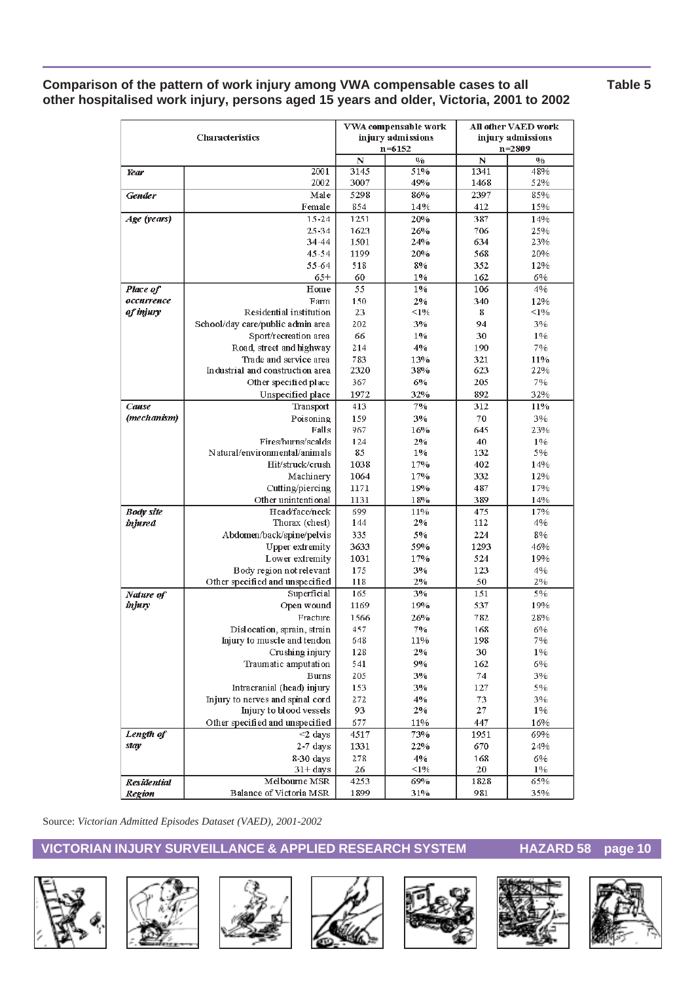#### **Comparison of the pattern of work injury among VWA compensable cases to all Table 5 other hospitalised work injury, persons aged 15 years and older, Victoria, 2001 to 2002**

| <b>Characteristics</b> |                                                            |             | VWA compensable work<br>injury admissions | <b>All other VAED work</b><br>injury admissions<br>$n = 2809$ |               |  |
|------------------------|------------------------------------------------------------|-------------|-------------------------------------------|---------------------------------------------------------------|---------------|--|
|                        |                                                            | $\mathbb N$ | $n = 6152$<br>0/0                         | $\mathbf N$                                                   | $\frac{0}{0}$ |  |
| Year                   | 2001                                                       | 3145        | 51%                                       | 1341                                                          | 48%           |  |
|                        | 2002                                                       | 3007        | 49%                                       | 1468                                                          | 52%           |  |
| <b>Gender</b>          | Male                                                       | 5298        | 86%                                       | 2397                                                          | 85%           |  |
|                        | Female                                                     | 854         | 14%                                       | 412                                                           | 15%           |  |
| Age (years)            | $15 - 24$                                                  | 1251        | 20%                                       | 387                                                           | 14%           |  |
|                        | 25-34                                                      | 1623        | 26%                                       | 706                                                           | 25%           |  |
|                        | 34-44                                                      | 1501        | 24%                                       | 634                                                           | 23%           |  |
|                        | $45 - 54$                                                  | 1199        | 20%                                       | 568                                                           | 20%           |  |
|                        | 55-64                                                      | 518         | 8%                                        | 352                                                           | 12%           |  |
|                        | $65+$                                                      | 60          | $1\%$                                     | 162                                                           | 6%            |  |
| Place of               | Home                                                       | 55          | 1%                                        | 106                                                           | 4%            |  |
| occurrence             | Farm                                                       | 150         | 2%                                        | 340                                                           | 12%           |  |
| of injury              | Residential institution                                    | 23          | $\leq$ 1%                                 | 8                                                             | <1%           |  |
|                        | School/day care/public admin area                          | 202         | 3%                                        | 94                                                            | 3%            |  |
|                        | Sport/recreation area                                      | 66          | 1%                                        | 30                                                            | $1\%$         |  |
|                        | Road, street and highway                                   | 214         | 4%                                        | 190                                                           | 7%            |  |
|                        | Trade and service area                                     | 783         | 13%                                       | 321                                                           | 11%           |  |
|                        | Industrial and construction area                           | 2320<br>367 | 38%<br>6%                                 | 623<br>205                                                    | 22%<br>7%     |  |
|                        | Other specified place<br>Unspecified place                 | 1972        | 32%                                       | 892                                                           | 32%           |  |
| Cause                  | Transport                                                  | 413         | 7%                                        | 312                                                           | 11%           |  |
| (mechanism)            | Poisoning                                                  | 159         | 3%                                        | 70                                                            | 3%            |  |
|                        | Falls                                                      | 967         | 16%                                       | 645                                                           | 23%           |  |
|                        | Fires/burns/scalds                                         | 124         | 2%                                        | 40                                                            | 1%            |  |
|                        | Natural/environmental/animals                              | 85          | 1%                                        | 132                                                           | 5%            |  |
|                        | Hit/struck/crush                                           | 1038        | 17%                                       | 402                                                           | 14%           |  |
|                        | Machinery                                                  | 1064        | 17%                                       | 332                                                           | 12%           |  |
|                        | Cutting/piercing                                           | 1171        | 19%                                       | 487                                                           | 17%           |  |
|                        | Other unintentional                                        | 1131        | 18%                                       | 389                                                           | 14%           |  |
| <b>Body site</b>       | Head/face/neck                                             | 699         | 11%                                       | 475                                                           | 17%           |  |
| <i>injured</i>         | Thorax (chest)                                             | 144         | 2%                                        | 112                                                           | 4%            |  |
|                        | Abdomen/back/spine/pelvis                                  | 335         | 5%                                        | 224                                                           | 8%            |  |
|                        | <b>Upper extremity</b>                                     | 3633        | 59%                                       | 1293                                                          | 46%           |  |
|                        | Lower extremity                                            | 1031        | 17%                                       | 524                                                           | 19%           |  |
|                        | Body region not relevant                                   | 175         | 3%                                        | 123                                                           | 4%            |  |
|                        | Other specified and unspecified                            | 118         | 2%                                        | 50                                                            | 2%            |  |
| Nature of              | Superficial                                                | 165         | 3%                                        | 151                                                           | 5%            |  |
| injury                 | Open wound                                                 | 1169        | 19%                                       | 537                                                           | 19%           |  |
|                        | Fracture                                                   | 1566        | 26%                                       | 782                                                           | 28%           |  |
|                        | Dislocation, sprain, strain<br>Injury to muscle and tendon | 457<br>648  | 7%<br>11%                                 | 168<br>198                                                    | 6%<br>7%      |  |
|                        | Crushing injury                                            | 128         | 2%                                        | 30                                                            | 1%            |  |
|                        | Traumatic amputation                                       | 541         | 9%                                        | 162                                                           | 6%            |  |
|                        | <b>Burns</b>                                               | 205         | 3%                                        | 74                                                            | 3%            |  |
|                        | Intracranial (head) injury                                 | 153         | 3%                                        | 127                                                           | 5%            |  |
|                        | Injury to nerves and spinal cord                           | 272         | 4%                                        | 73                                                            | 3%            |  |
|                        | Injury to blood vessels                                    | 93          | 2%                                        | 27                                                            | $1\%$         |  |
|                        | Other specified and unspecified                            | 677         | 11%                                       | 447                                                           | 16%           |  |
| Length of              | $\overline{\leq}$ 2 days                                   | 4517        | 73%                                       | 1951                                                          | 69%           |  |
| stay                   | $2-7$ days                                                 | 1331        | 22%                                       | 670                                                           | 24%           |  |
|                        | 8-30 days                                                  | 278         | 4%                                        | 168                                                           | 6%            |  |
|                        | $31 + days$                                                | 26          | $\leq 1\%$                                | 20                                                            | $1\%$         |  |
| <b>Residential</b>     | Melbourne MSR                                              | 4253        | 69%                                       | 1828                                                          | 65%           |  |
| <b>Region</b>          | Balance of Victoria MSR                                    | 1899        | 31%                                       | 981                                                           | 35%           |  |

Source: *Victorian Admitted Episodes Dataset (VAED), 2001-2002*













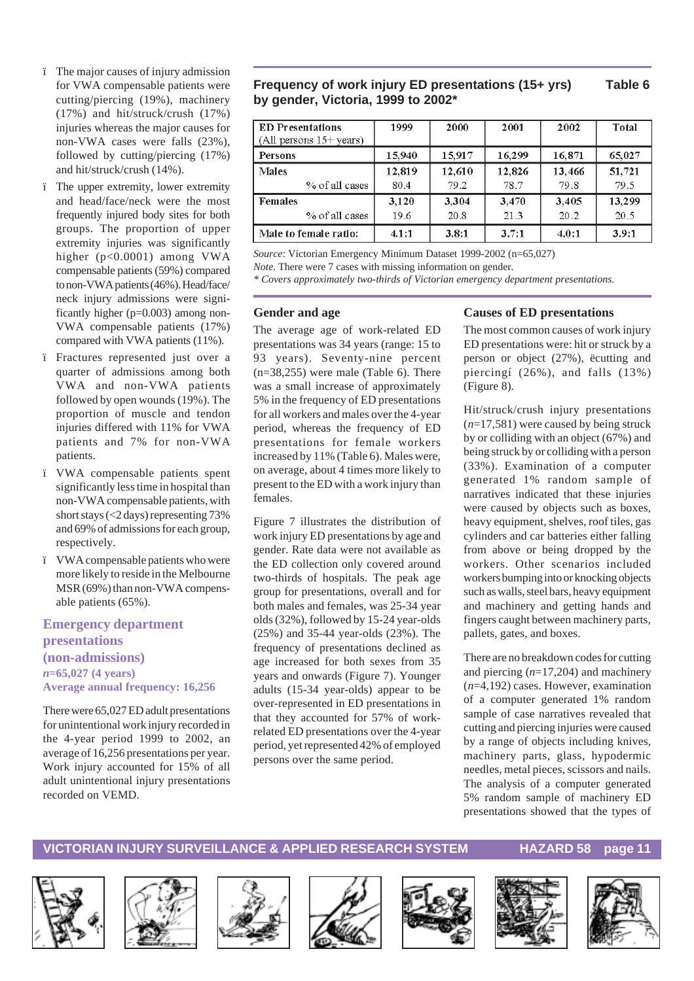- ï The major causes of injury admission for VWA compensable patients were cutting/piercing (19%), machinery (17%) and hit/struck/crush (17%) injuries whereas the major causes for non-VWA cases were falls (23%), followed by cutting/piercing (17%) and hit/struck/crush (14%).
- ï The upper extremity, lower extremity and head/face/neck were the most frequently injured body sites for both groups. The proportion of upper extremity injuries was significantly higher (p<0.0001) among VWA compensable patients (59%) compared to non-VWA patients (46%). Head/face/ neck injury admissions were significantly higher (p=0.003) among non-VWA compensable patients (17%) compared with VWA patients (11%).
- ï Fractures represented just over a quarter of admissions among both VWA and non-VWA patients followed by open wounds (19%). The proportion of muscle and tendon injuries differed with 11% for VWA patients and 7% for non-VWA patients.
- ï VWA compensable patients spent significantly less time in hospital than non-VWA compensable patients, with short stays (<2 days) representing 73% and 69% of admissions for each group, respectively.
- ï VWA compensable patients who were more likely to reside in the Melbourne MSR (69%) than non-VWA compensable patients (65%).

#### **Emergency department presentations (non-admissions)** *n***=65,027 (4 years) Average annual frequency: 16,256**

There were 65,027 ED adult presentations for unintentional work injury recorded in the 4-year period 1999 to 2002, an average of 16,256 presentations per year. Work injury accounted for 15% of all adult unintentional injury presentations recorded on VEMD.

#### **Frequency of work injury ED presentations (15+ yrs) Table 6 by gender, Victoria, 1999 to 2002\***

| <b>ED</b> Presentations<br>$(All$ persons $15+$ years) | 1999   | 2000   | 2001   | 2002   | Total  |
|--------------------------------------------------------|--------|--------|--------|--------|--------|
| <b>Persons</b>                                         | 15,940 | 15,917 | 16,299 | 16,871 | 65,027 |
| <b>Males</b>                                           | 12,819 | 12,610 | 12,826 | 13,466 | 51,721 |
| % of all cases                                         | 80.4   | 79.2   | 78.7   | 79.8   | 79.5   |
| <b>Females</b>                                         | 3,120  | 3,304  | 3,470  | 3,405  | 13,299 |
| % of all cases                                         | 19.6   | 20.8   | 21.3   | 20.2   | 20.5   |
| Male to female ratio:                                  | 4.1:1  | 3.8:1  | 3.7:1  | 4.0:1  | 3.9:1  |

*Source*: Victorian Emergency Minimum Dataset 1999-2002 (n=65,027)

*Note*. There were 7 cases with missing information on gender.

*\* Covers approximately two-thirds of Victorian emergency department presentations.*

#### **Gender and age**

The average age of work-related ED presentations was 34 years (range: 15 to 93 years). Seventy-nine percent (n=38,255) were male (Table 6). There was a small increase of approximately 5% in the frequency of ED presentations for all workers and males over the 4-year period, whereas the frequency of ED presentations for female workers increased by 11% (Table 6). Males were, on average, about 4 times more likely to present to the ED with a work injury than females.

Figure 7 illustrates the distribution of work injury ED presentations by age and gender. Rate data were not available as the ED collection only covered around two-thirds of hospitals. The peak age group for presentations, overall and for both males and females, was 25-34 year olds (32%), followed by 15-24 year-olds (25%) and 35-44 year-olds (23%). The frequency of presentations declined as age increased for both sexes from 35 years and onwards (Figure 7). Younger adults (15-34 year-olds) appear to be over-represented in ED presentations in that they accounted for 57% of workrelated ED presentations over the 4-year period, yet represented 42% of employed persons over the same period.

#### **Causes of ED presentations**

The most common causes of work injury ED presentations were: hit or struck by a person or object (27%), ëcutting and piercingí (26%), and falls (13%) (Figure 8).

Hit/struck/crush injury presentations (*n*=17,581) were caused by being struck by or colliding with an object (67%) and being struck by or colliding with a person (33%). Examination of a computer generated 1% random sample of narratives indicated that these injuries were caused by objects such as boxes, heavy equipment, shelves, roof tiles, gas cylinders and car batteries either falling from above or being dropped by the workers. Other scenarios included workers bumping into or knocking objects such as walls, steel bars, heavy equipment and machinery and getting hands and fingers caught between machinery parts, pallets, gates, and boxes.

There are no breakdown codes for cutting and piercing (*n*=17,204) and machinery (*n*=4,192) cases. However, examination of a computer generated 1% random sample of case narratives revealed that cutting and piercing injuries were caused by a range of objects including knives, machinery parts, glass, hypodermic needles, metal pieces, scissors and nails. The analysis of a computer generated 5% random sample of machinery ED presentations showed that the types of













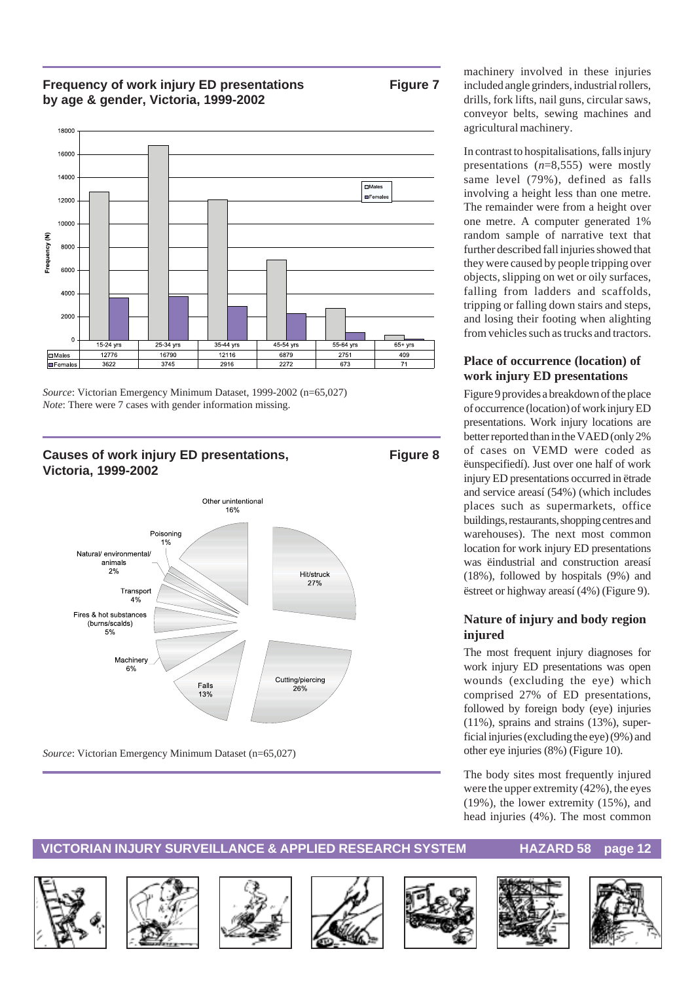#### **Frequency of work injury ED presentations Figure 7 by age & gender, Victoria, 1999-2002**



*Source*: Victorian Emergency Minimum Dataset, 1999-2002 (n=65,027) *Note*: There were 7 cases with gender information missing.

#### Causes of work injury ED presentations, Figure 8 **Victoria, 1999-2002**



*Source*: Victorian Emergency Minimum Dataset (n=65,027)

machinery involved in these injuries included angle grinders, industrial rollers, drills, fork lifts, nail guns, circular saws, conveyor belts, sewing machines and agricultural machinery.

In contrast to hospitalisations, falls injury presentations (*n*=8,555) were mostly same level (79%), defined as falls involving a height less than one metre. The remainder were from a height over one metre. A computer generated 1% random sample of narrative text that further described fall injuries showed that they were caused by people tripping over objects, slipping on wet or oily surfaces, falling from ladders and scaffolds, tripping or falling down stairs and steps, and losing their footing when alighting from vehicles such as trucks and tractors.

#### **Place of occurrence (location) of work injury ED presentations**

Figure 9 provides a breakdown of the place of occurrence (location) of work injury ED presentations. Work injury locations are better reported than in the VAED (only 2% of cases on VEMD were coded as ëunspecifiedí). Just over one half of work injury ED presentations occurred in ëtrade and service areasí (54%) (which includes places such as supermarkets, office buildings, restaurants, shopping centres and warehouses). The next most common location for work injury ED presentations was ëindustrial and construction areasí (18%), followed by hospitals (9%) and ëstreet or highway areasí (4%) (Figure 9).

#### **Nature of injury and body region injured**

The most frequent injury diagnoses for work injury ED presentations was open wounds (excluding the eye) which comprised 27% of ED presentations, followed by foreign body (eye) injuries (11%), sprains and strains (13%), superficial injuries (excluding the eye) (9%) and other eye injuries (8%) (Figure 10).

The body sites most frequently injured were the upper extremity (42%), the eyes (19%), the lower extremity (15%), and head injuries (4%). The most common













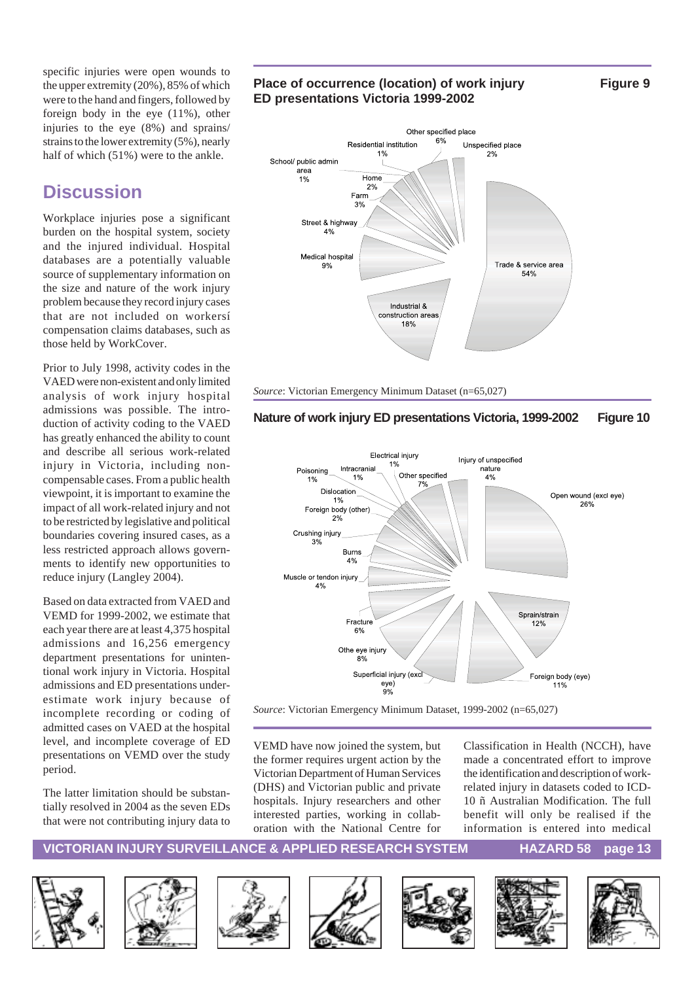specific injuries were open wounds to the upper extremity (20%), 85% of which were to the hand and fingers, followed by foreign body in the eye (11%), other injuries to the eye (8%) and sprains/ strains to the lower extremity (5%), nearly half of which (51%) were to the ankle.

## **Discussion**

Workplace injuries pose a significant burden on the hospital system, society and the injured individual. Hospital databases are a potentially valuable source of supplementary information on the size and nature of the work injury problem because they record injury cases that are not included on workersí compensation claims databases, such as those held by WorkCover.

Prior to July 1998, activity codes in the VAED were non-existent and only limited analysis of work injury hospital admissions was possible. The introduction of activity coding to the VAED has greatly enhanced the ability to count and describe all serious work-related injury in Victoria, including noncompensable cases. From a public health viewpoint, it is important to examine the impact of all work-related injury and not to be restricted by legislative and political boundaries covering insured cases, as a less restricted approach allows governments to identify new opportunities to reduce injury (Langley 2004).

Based on data extracted from VAED and VEMD for 1999-2002, we estimate that each year there are at least 4,375 hospital admissions and 16,256 emergency department presentations for unintentional work injury in Victoria. Hospital admissions and ED presentations underestimate work injury because of incomplete recording or coding of admitted cases on VAED at the hospital level, and incomplete coverage of ED presentations on VEMD over the study period.

The latter limitation should be substantially resolved in 2004 as the seven EDs that were not contributing injury data to

#### Place of occurrence (location) of work injury Figure 9 **ED presentations Victoria 1999-2002**

Other specified place 6% Residential institution Unspecified place  $2%$ School/ public admin area Home  $1%$  $2%$ Farm  $3%$ Street & highway  $4%$ Medical hospital Trade & service area  $Q_0$ 54% Industrial & construction areas 18%

*Source*: Victorian Emergency Minimum Dataset (n=65,027)

#### **Nature of work injury ED presentations Victoria, 1999-2002 Figure 10**



*Source*: Victorian Emergency Minimum Dataset, 1999-2002 (n=65,027)

VEMD have now joined the system, but the former requires urgent action by the Victorian Department of Human Services (DHS) and Victorian public and private hospitals. Injury researchers and other interested parties, working in collaboration with the National Centre for

Classification in Health (NCCH), have made a concentrated effort to improve the identification and description of workrelated injury in datasets coded to ICD-10 ñ Australian Modification. The full benefit will only be realised if the information is entered into medical













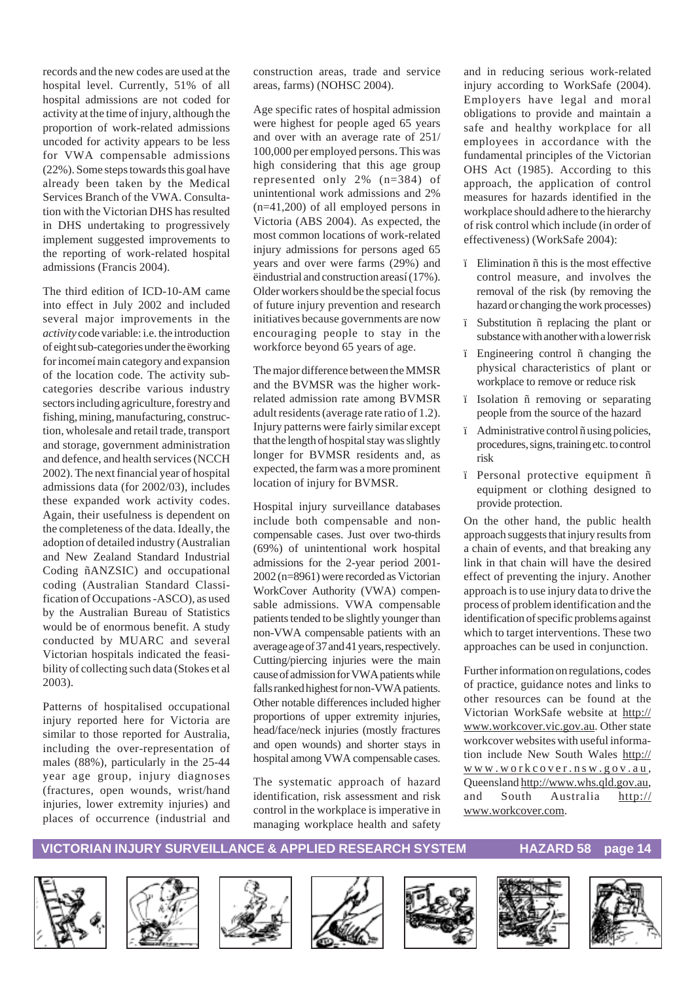records and the new codes are used at the hospital level. Currently, 51% of all hospital admissions are not coded for activity at the time of injury, although the proportion of work-related admissions uncoded for activity appears to be less for VWA compensable admissions (22%). Some steps towards this goal have already been taken by the Medical Services Branch of the VWA. Consultation with the Victorian DHS has resulted in DHS undertaking to progressively implement suggested improvements to the reporting of work-related hospital admissions (Francis 2004).

The third edition of ICD-10-AM came into effect in July 2002 and included several major improvements in the *activity* code variable: i.e. the introduction of eight sub-categories under the ëworking for incomeí main category and expansion of the location code. The activity subcategories describe various industry sectors including agriculture, forestry and fishing, mining, manufacturing, construction, wholesale and retail trade, transport and storage, government administration and defence, and health services (NCCH 2002). The next financial year of hospital admissions data (for 2002/03), includes these expanded work activity codes. Again, their usefulness is dependent on the completeness of the data. Ideally, the adoption of detailed industry (Australian and New Zealand Standard Industrial Coding ñANZSIC) and occupational coding (Australian Standard Classification of Occupations -ASCO), as used by the Australian Bureau of Statistics would be of enormous benefit. A study conducted by MUARC and several Victorian hospitals indicated the feasibility of collecting such data (Stokes et al 2003).

Patterns of hospitalised occupational injury reported here for Victoria are similar to those reported for Australia, including the over-representation of males (88%), particularly in the 25-44 year age group, injury diagnoses (fractures, open wounds, wrist/hand injuries, lower extremity injuries) and places of occurrence (industrial and construction areas, trade and service areas, farms) (NOHSC 2004).

Age specific rates of hospital admission were highest for people aged 65 years and over with an average rate of 251/ 100,000 per employed persons. This was high considering that this age group represented only 2% (n=384) of unintentional work admissions and 2% (n=41,200) of all employed persons in Victoria (ABS 2004). As expected, the most common locations of work-related injury admissions for persons aged 65 years and over were farms (29%) and ëindustrial and construction areasí (17%). Older workers should be the special focus of future injury prevention and research initiatives because governments are now encouraging people to stay in the workforce beyond 65 years of age.

The major difference between the MMSR and the BVMSR was the higher workrelated admission rate among BVMSR adult residents (average rate ratio of 1.2). Injury patterns were fairly similar except that the length of hospital stay was slightly longer for BVMSR residents and, as expected, the farm was a more prominent location of injury for BVMSR.

Hospital injury surveillance databases include both compensable and noncompensable cases. Just over two-thirds (69%) of unintentional work hospital admissions for the 2-year period 2001- 2002 (n=8961) were recorded as Victorian WorkCover Authority (VWA) compensable admissions. VWA compensable patients tended to be slightly younger than non-VWA compensable patients with an average age of 37 and 41 years, respectively. Cutting/piercing injuries were the main cause of admission for VWA patients while falls ranked highest for non-VWA patients. Other notable differences included higher proportions of upper extremity injuries, head/face/neck injuries (mostly fractures and open wounds) and shorter stays in hospital among VWA compensable cases.

The systematic approach of hazard identification, risk assessment and risk control in the workplace is imperative in managing workplace health and safety

and in reducing serious work-related injury according to WorkSafe (2004). Employers have legal and moral obligations to provide and maintain a safe and healthy workplace for all employees in accordance with the fundamental principles of the Victorian OHS Act (1985). According to this approach, the application of control measures for hazards identified in the workplace should adhere to the hierarchy of risk control which include (in order of effectiveness) (WorkSafe 2004):

- ï Elimination ñ this is the most effective control measure, and involves the removal of the risk (by removing the hazard or changing the work processes)
- ï Substitution ñ replacing the plant or substance with another with a lower risk
- ï Engineering control ñ changing the physical characteristics of plant or workplace to remove or reduce risk
- ï Isolation ñ removing or separating people from the source of the hazard
- ï Administrative control ñ using policies, procedures, signs, training etc. to control risk
- ï Personal protective equipment ñ equipment or clothing designed to provide protection.

On the other hand, the public health approach suggests that injury results from a chain of events, and that breaking any link in that chain will have the desired effect of preventing the injury. Another approach is to use injury data to drive the process of problem identification and the identification of specific problems against which to target interventions. These two approaches can be used in conjunction.

Further information on regulations, codes of practice, guidance notes and links to other resources can be found at the Victorian WorkSafe website at http:// www.workcover.vic.gov.au. Other state workcover websites with useful information include New South Wales http:// www.workcover.nsw.gov.au, Queensland http://www.whs.qld.gov.au, and South Australia http:// www.workcover.com.













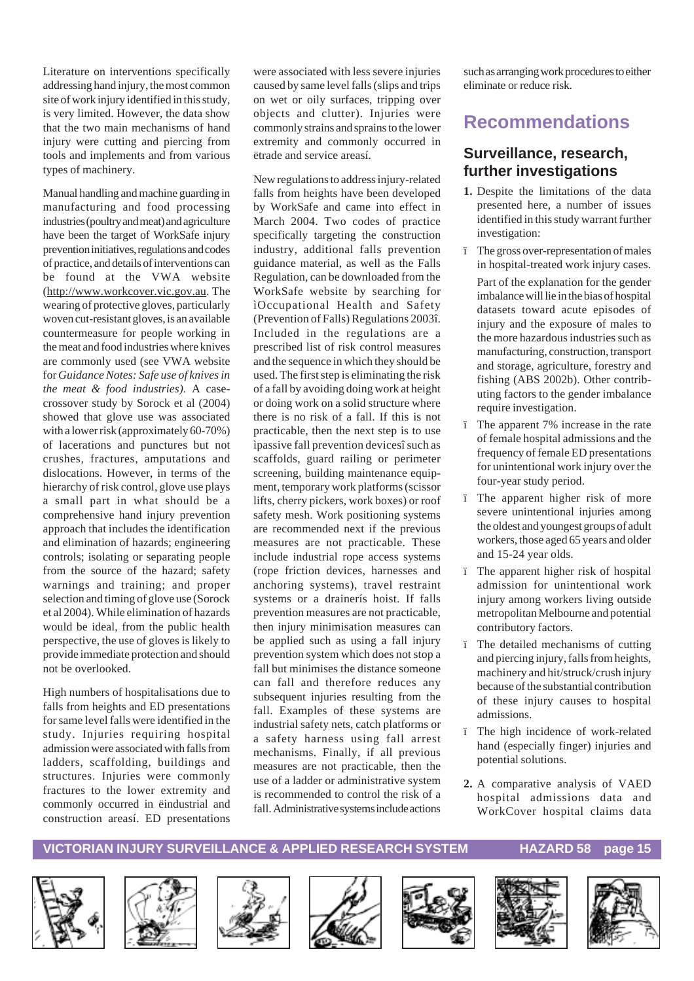Literature on interventions specifically addressing hand injury, the most common site of work injury identified in this study, is very limited. However, the data show that the two main mechanisms of hand injury were cutting and piercing from tools and implements and from various types of machinery.

Manual handling and machine guarding in manufacturing and food processing industries (poultry and meat) and agriculture have been the target of WorkSafe injury prevention initiatives, regulations and codes of practice, and details of interventions can be found at the VWA website (http://www.workcover.vic.gov.au. The wearing of protective gloves, particularly woven cut-resistant gloves, is an available countermeasure for people working in the meat and food industries where knives are commonly used (see VWA website for *Guidance Notes: Safe use of knives in the meat & food industries).* A casecrossover study by Sorock et al (2004) showed that glove use was associated with a lower risk (approximately 60-70%) of lacerations and punctures but not crushes, fractures, amputations and dislocations. However, in terms of the hierarchy of risk control, glove use plays a small part in what should be a comprehensive hand injury prevention approach that includes the identification and elimination of hazards; engineering controls; isolating or separating people from the source of the hazard; safety warnings and training; and proper selection and timing of glove use (Sorock et al 2004). While elimination of hazards would be ideal, from the public health perspective, the use of gloves is likely to provide immediate protection and should not be overlooked.

High numbers of hospitalisations due to falls from heights and ED presentations for same level falls were identified in the study. Injuries requiring hospital admission were associated with falls from ladders, scaffolding, buildings and structures. Injuries were commonly fractures to the lower extremity and commonly occurred in ëindustrial and construction areasí. ED presentations were associated with less severe injuries caused by same level falls (slips and trips on wet or oily surfaces, tripping over objects and clutter). Injuries were commonly strains and sprains to the lower extremity and commonly occurred in ëtrade and service areasí.

New regulations to address injury-related falls from heights have been developed by WorkSafe and came into effect in March 2004. Two codes of practice specifically targeting the construction industry, additional falls prevention guidance material, as well as the Falls Regulation, can be downloaded from the WorkSafe website by searching for ìOccupational Health and Safety (Prevention of Falls) Regulations 2003î. Included in the regulations are a prescribed list of risk control measures and the sequence in which they should be used. The first step is eliminating the risk of a fall by avoiding doing work at height or doing work on a solid structure where there is no risk of a fall. If this is not practicable, then the next step is to use ìpassive fall prevention devicesî such as scaffolds, guard railing or perimeter screening, building maintenance equipment, temporary work platforms (scissor lifts, cherry pickers, work boxes) or roof safety mesh. Work positioning systems are recommended next if the previous measures are not practicable. These include industrial rope access systems (rope friction devices, harnesses and anchoring systems), travel restraint systems or a drainerís hoist. If falls prevention measures are not practicable, then injury minimisation measures can be applied such as using a fall injury prevention system which does not stop a fall but minimises the distance someone can fall and therefore reduces any subsequent injuries resulting from the fall. Examples of these systems are industrial safety nets, catch platforms or a safety harness using fall arrest mechanisms. Finally, if all previous measures are not practicable, then the use of a ladder or administrative system is recommended to control the risk of a fall. Administrative systems include actions

such as arranging work procedures to either eliminate or reduce risk.

# **Recommendations**

### **Surveillance, research, further investigations**

- **1.** Despite the limitations of the data presented here, a number of issues identified in this study warrant further investigation:
- ï The gross over-representation of males in hospital-treated work injury cases.

Part of the explanation for the gender imbalance will lie in the bias of hospital datasets toward acute episodes of injury and the exposure of males to the more hazardous industries such as manufacturing, construction, transport and storage, agriculture, forestry and fishing (ABS 2002b). Other contributing factors to the gender imbalance require investigation.

- ï The apparent 7% increase in the rate of female hospital admissions and the frequency of female ED presentations for unintentional work injury over the four-year study period.
- ï The apparent higher risk of more severe unintentional injuries among the oldest and youngest groups of adult workers, those aged 65 years and older and 15-24 year olds.
- ï The apparent higher risk of hospital admission for unintentional work injury among workers living outside metropolitan Melbourne and potential contributory factors.
- ï The detailed mechanisms of cutting and piercing injury, falls from heights, machinery and hit/struck/crush injury because of the substantial contribution of these injury causes to hospital admissions.
- ï The high incidence of work-related hand (especially finger) injuries and potential solutions.
- **2.** A comparative analysis of VAED hospital admissions data and WorkCover hospital claims data













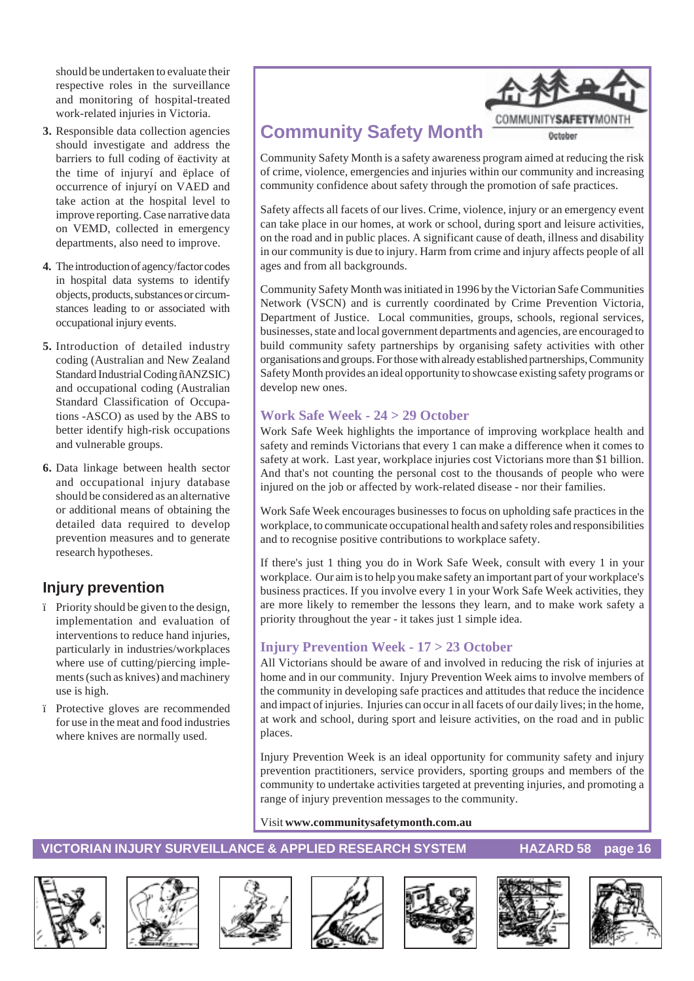should be undertaken to evaluate their respective roles in the surveillance and monitoring of hospital-treated work-related injuries in Victoria.

- **3.** Responsible data collection agencies should investigate and address the barriers to full coding of ëactivity at the time of injuryí and ëplace of occurrence of injuryí on VAED and take action at the hospital level to improve reporting. Case narrative data on VEMD, collected in emergency departments, also need to improve.
- **4.** The introduction of agency/factor codes in hospital data systems to identify objects, products, substances or circumstances leading to or associated with occupational injury events.
- **5.** Introduction of detailed industry coding (Australian and New Zealand Standard Industrial Coding ñANZSIC) and occupational coding (Australian Standard Classification of Occupations -ASCO) as used by the ABS to better identify high-risk occupations and vulnerable groups.
- **6.** Data linkage between health sector and occupational injury database should be considered as an alternative or additional means of obtaining the detailed data required to develop prevention measures and to generate research hypotheses.

## **Injury prevention**

- ï Priority should be given to the design, implementation and evaluation of interventions to reduce hand injuries, particularly in industries/workplaces where use of cutting/piercing implements (such as knives) and machinery use is high.
- ï Protective gloves are recommended for use in the meat and food industries where knives are normally used.



# **Community Safety Month**

Community Safety Month is a safety awareness program aimed at reducing the risk of crime, violence, emergencies and injuries within our community and increasing community confidence about safety through the promotion of safe practices.

Safety affects all facets of our lives. Crime, violence, injury or an emergency event can take place in our homes, at work or school, during sport and leisure activities, on the road and in public places. A significant cause of death, illness and disability in our community is due to injury. Harm from crime and injury affects people of all ages and from all backgrounds.

Community Safety Month was initiated in 1996 by the Victorian Safe Communities Network (VSCN) and is currently coordinated by Crime Prevention Victoria, Department of Justice. Local communities, groups, schools, regional services, businesses, state and local government departments and agencies, are encouraged to build community safety partnerships by organising safety activities with other organisations and groups. For those with already established partnerships, Community Safety Month provides an ideal opportunity to showcase existing safety programs or develop new ones.

#### **Work Safe Week - 24 > 29 October**

Work Safe Week highlights the importance of improving workplace health and safety and reminds Victorians that every 1 can make a difference when it comes to safety at work. Last year, workplace injuries cost Victorians more than \$1 billion. And that's not counting the personal cost to the thousands of people who were injured on the job or affected by work-related disease - nor their families.

Work Safe Week encourages businesses to focus on upholding safe practices in the workplace, to communicate occupational health and safety roles and responsibilities and to recognise positive contributions to workplace safety.

If there's just 1 thing you do in Work Safe Week, consult with every 1 in your workplace. Our aim is to help you make safety an important part of your workplace's business practices. If you involve every 1 in your Work Safe Week activities, they are more likely to remember the lessons they learn, and to make work safety a priority throughout the year - it takes just 1 simple idea.

#### **Injury Prevention Week - 17 > 23 October**

All Victorians should be aware of and involved in reducing the risk of injuries at home and in our community. Injury Prevention Week aims to involve members of the community in developing safe practices and attitudes that reduce the incidence and impact of injuries. Injuries can occur in all facets of our daily lives; in the home, at work and school, during sport and leisure activities, on the road and in public places.

Injury Prevention Week is an ideal opportunity for community safety and injury prevention practitioners, service providers, sporting groups and members of the community to undertake activities targeted at preventing injuries, and promoting a range of injury prevention messages to the community.

#### Visit **www.communitysafetymonth.com.au**













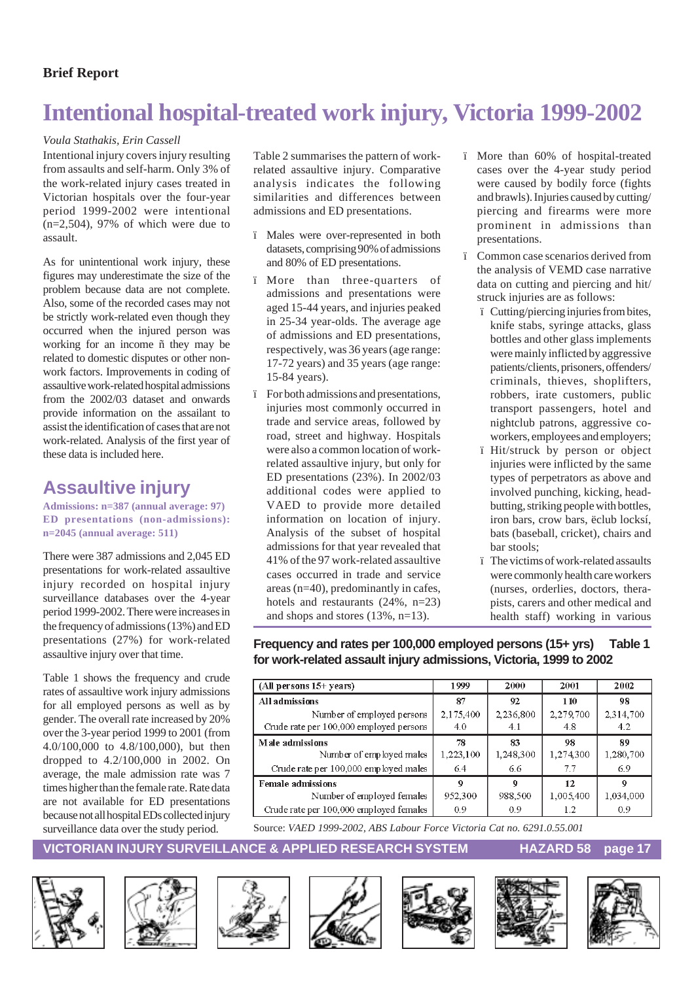#### **Brief Report**

# **Intentional hospital-treated work injury, Victoria 1999-2002**

#### *Voula Stathakis, Erin Cassell*

Intentional injury covers injury resulting from assaults and self-harm. Only 3% of the work-related injury cases treated in Victorian hospitals over the four-year period 1999-2002 were intentional  $(n=2,504)$ , 97% of which were due to assault.

As for unintentional work injury, these figures may underestimate the size of the problem because data are not complete. Also, some of the recorded cases may not be strictly work-related even though they occurred when the injured person was working for an income ñ they may be related to domestic disputes or other nonwork factors. Improvements in coding of assaultive work-related hospital admissions from the 2002/03 dataset and onwards provide information on the assailant to assist the identification of cases that are not work-related. Analysis of the first year of these data is included here.

### **Assaultive injury**

**Admissions: n=387 (annual average: 97) ED presentations (non-admissions): n=2045 (annual average: 511)**

There were 387 admissions and 2,045 ED presentations for work-related assaultive injury recorded on hospital injury surveillance databases over the 4-year period 1999-2002. There were increases in the frequency of admissions (13%) and ED presentations (27%) for work-related assaultive injury over that time.

Table 1 shows the frequency and crude rates of assaultive work injury admissions for all employed persons as well as by gender. The overall rate increased by 20% over the 3-year period 1999 to 2001 (from 4.0/100,000 to 4.8/100,000), but then dropped to 4.2/100,000 in 2002. On average, the male admission rate was 7 times higher than the female rate. Rate data are not available for ED presentations because not all hospital EDs collected injury surveillance data over the study period.

Table 2 summarises the pattern of workrelated assaultive injury. Comparative analysis indicates the following similarities and differences between admissions and ED presentations.

- Males were over-represented in both datasets, comprising 90% of admissions and 80% of ED presentations.
- ï More than three-quarters of admissions and presentations were aged 15-44 years, and injuries peaked in 25-34 year-olds. The average age of admissions and ED presentations, respectively, was 36 years (age range: 17-72 years) and 35 years (age range: 15-84 years).
- ï For both admissions and presentations, injuries most commonly occurred in trade and service areas, followed by road, street and highway. Hospitals were also a common location of workrelated assaultive injury, but only for ED presentations (23%). In 2002/03 additional codes were applied to VAED to provide more detailed information on location of injury. Analysis of the subset of hospital admissions for that year revealed that 41% of the 97 work-related assaultive cases occurred in trade and service areas (n=40), predominantly in cafes, hotels and restaurants (24%, n=23) and shops and stores (13%, n=13).
- ï More than 60% of hospital-treated cases over the 4-year study period were caused by bodily force (fights and brawls). Injuries caused by cutting/ piercing and firearms were more prominent in admissions than presentations.
- ï Common case scenarios derived from the analysis of VEMD case narrative data on cutting and piercing and hit/ struck injuries are as follows:
	- ï Cutting/piercing injuries from bites, knife stabs, syringe attacks, glass bottles and other glass implements were mainly inflicted by aggressive patients/clients, prisoners, offenders/ criminals, thieves, shoplifters, robbers, irate customers, public transport passengers, hotel and nightclub patrons, aggressive coworkers, employees and employers;
	- ï Hit/struck by person or object injuries were inflicted by the same types of perpetrators as above and involved punching, kicking, headbutting, striking people with bottles, iron bars, crow bars, ëclub locksí, bats (baseball, cricket), chairs and bar stools;
	- ï The victims of work-related assaults were commonly health care workers (nurses, orderlies, doctors, therapists, carers and other medical and health staff) working in various

#### **Frequency and rates per 100,000 employed persons (15+ yrs) Table 1 for work-related assault injury admissions, Victoria, 1999 to 2002**

| (All persons $15+$ years)               | 1999      | 2000      | 2001      | 2002      |
|-----------------------------------------|-----------|-----------|-----------|-----------|
| All admissions                          | 87        | 92        | 110       | 98        |
| Number of employed persons              | 2,175,400 | 2,236,800 | 2,279,700 | 2,314,700 |
| Crude rate per 100,000 employed persons | 4.0       | 4.1       | 4.8       | 4.2       |
| Male admissions                         | 78        | 83        | 98        | 89        |
| Number of employed males                | 1,223,100 | 1,248,300 | 1,274,300 | 1,280,700 |
| Crude rate per 100,000 employed males   | 6.4       | 6.6       | 7.7       | 6.9       |
| <b>Female admissions</b>                | -9        | 9         | 12        | 9         |
| Number of employed females              | 952,300   | 988,500   | 1,005,400 | 1,034,000 |
| Crude rate per 100,000 employed females | 0.9       | 0.9       | $1.2\,$   | 0.9       |

Source: *VAED 1999-2002, ABS Labour Force Victoria Cat no. 6291.0.55.001*













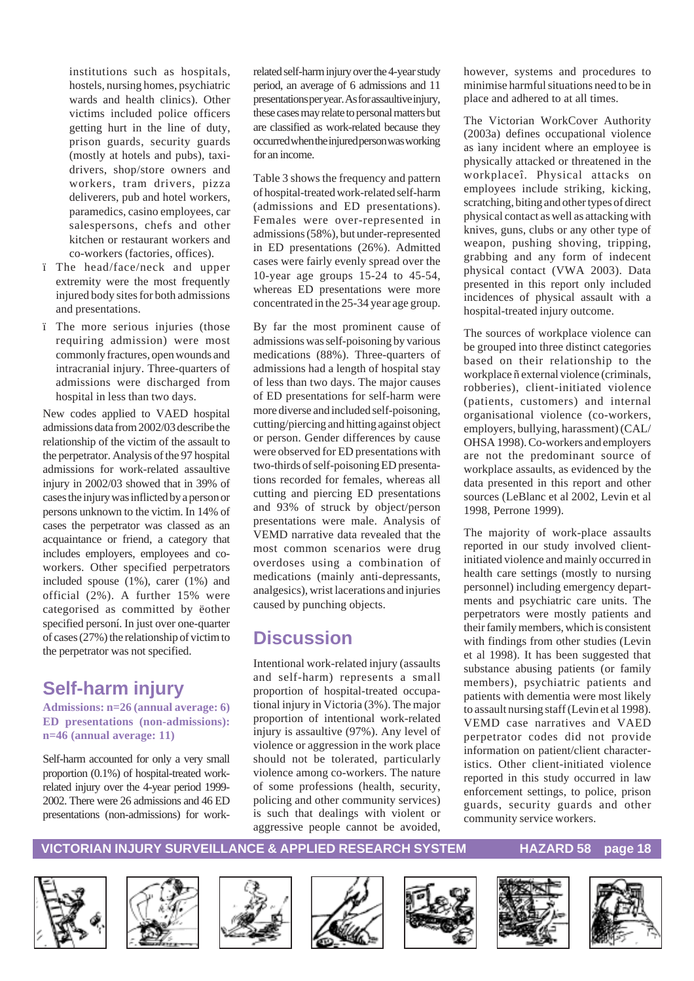institutions such as hospitals, hostels, nursing homes, psychiatric wards and health clinics). Other victims included police officers getting hurt in the line of duty, prison guards, security guards (mostly at hotels and pubs), taxidrivers, shop/store owners and workers, tram drivers, pizza deliverers, pub and hotel workers, paramedics, casino employees, car salespersons, chefs and other kitchen or restaurant workers and co-workers (factories, offices).

- ï The head/face/neck and upper extremity were the most frequently injured body sites for both admissions and presentations.
- ï The more serious injuries (those requiring admission) were most commonly fractures, open wounds and intracranial injury. Three-quarters of admissions were discharged from hospital in less than two days.

New codes applied to VAED hospital admissions data from 2002/03 describe the relationship of the victim of the assault to the perpetrator. Analysis of the 97 hospital admissions for work-related assaultive injury in 2002/03 showed that in 39% of cases the injury was inflicted by a person or persons unknown to the victim. In 14% of cases the perpetrator was classed as an acquaintance or friend, a category that includes employers, employees and coworkers. Other specified perpetrators included spouse (1%), carer (1%) and official (2%). A further 15% were categorised as committed by ëother specified personí. In just over one-quarter of cases (27%) the relationship of victim to the perpetrator was not specified.

# **Self-harm injury**

**Admissions: n=26 (annual average: 6) ED presentations (non-admissions): n=46 (annual average: 11)**

Self-harm accounted for only a very small proportion (0.1%) of hospital-treated workrelated injury over the 4-year period 1999- 2002. There were 26 admissions and 46 ED presentations (non-admissions) for workrelated self-harm injury over the 4-year study period, an average of 6 admissions and 11 presentations per year. As for assaultive injury, these cases may relate to personal matters but are classified as work-related because they occurred when the injured person was working for an income.

Table 3 shows the frequency and pattern of hospital-treated work-related self-harm (admissions and ED presentations). Females were over-represented in admissions (58%), but under-represented in ED presentations (26%). Admitted cases were fairly evenly spread over the 10-year age groups 15-24 to 45-54, whereas ED presentations were more concentrated in the 25-34 year age group.

By far the most prominent cause of admissions was self-poisoning by various medications (88%). Three-quarters of admissions had a length of hospital stay of less than two days. The major causes of ED presentations for self-harm were more diverse and included self-poisoning, cutting/piercing and hitting against object or person. Gender differences by cause were observed for ED presentations with two-thirds of self-poisoning ED presentations recorded for females, whereas all cutting and piercing ED presentations and 93% of struck by object/person presentations were male. Analysis of VEMD narrative data revealed that the most common scenarios were drug overdoses using a combination of medications (mainly anti-depressants, analgesics), wrist lacerations and injuries caused by punching objects.

# **Discussion**

Intentional work-related injury (assaults and self-harm) represents a small proportion of hospital-treated occupational injury in Victoria (3%). The major proportion of intentional work-related injury is assaultive (97%). Any level of violence or aggression in the work place should not be tolerated, particularly violence among co-workers. The nature of some professions (health, security, policing and other community services) is such that dealings with violent or aggressive people cannot be avoided,

however, systems and procedures to minimise harmful situations need to be in place and adhered to at all times.

The Victorian WorkCover Authority (2003a) defines occupational violence as ìany incident where an employee is physically attacked or threatened in the workplaceî. Physical attacks on employees include striking, kicking, scratching, biting and other types of direct physical contact as well as attacking with knives, guns, clubs or any other type of weapon, pushing shoving, tripping, grabbing and any form of indecent physical contact (VWA 2003). Data presented in this report only included incidences of physical assault with a hospital-treated injury outcome.

The sources of workplace violence can be grouped into three distinct categories based on their relationship to the workplace ñ external violence (criminals, robberies), client-initiated violence (patients, customers) and internal organisational violence (co-workers, employers, bullying, harassment) (CAL/ OHSA 1998). Co-workers and employers are not the predominant source of workplace assaults, as evidenced by the data presented in this report and other sources (LeBlanc et al 2002, Levin et al 1998, Perrone 1999).

The majority of work-place assaults reported in our study involved clientinitiated violence and mainly occurred in health care settings (mostly to nursing personnel) including emergency departments and psychiatric care units. The perpetrators were mostly patients and their family members, which is consistent with findings from other studies (Levin et al 1998). It has been suggested that substance abusing patients (or family members), psychiatric patients and patients with dementia were most likely to assault nursing staff (Levin et al 1998). VEMD case narratives and VAED perpetrator codes did not provide information on patient/client characteristics. Other client-initiated violence reported in this study occurred in law enforcement settings, to police, prison guards, security guards and other community service workers.













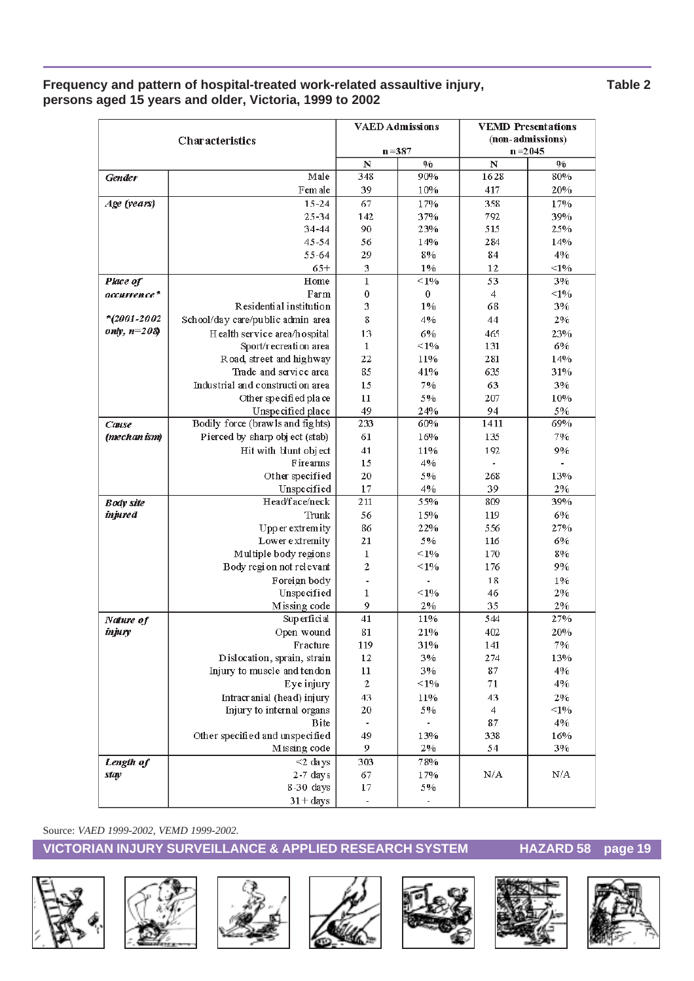#### Frequency and pattern of hospital-treated work-related assaultive injury, Table 2 **persons aged 15 years and older, Victoria, 1999 to 2002**

|                  |                                                   |                          | <b>VAED Admissions</b> |                         | <b>VEMD</b> Presentations |
|------------------|---------------------------------------------------|--------------------------|------------------------|-------------------------|---------------------------|
|                  | Characteristics                                   |                          |                        |                         | (non-admissions)          |
|                  |                                                   |                          | $n = 387$              | $n = 2045$              |                           |
|                  |                                                   | $\mathbf N$              | 0/0                    | $\overline{\mathbf{N}}$ | 0/0                       |
| <b>Gender</b>    | Male                                              | 348                      | 90%                    | 1628                    | 80%                       |
|                  | Fem ale                                           | 39                       | 10%                    | 417                     | 20%                       |
| Age (years)      | $15 - 24$                                         | 67                       | 17%                    | 358                     | 17%                       |
|                  | $25 - 34$                                         | 142                      | 37%                    | 792                     | 39%                       |
|                  | 34-44                                             | 90                       | 23%                    | 515                     | 25%                       |
|                  | $45 - 54$                                         | 56                       | 14%                    | 284                     | 14%                       |
|                  | 55-64                                             | 29                       | 8%                     | 84                      | 4%                        |
|                  | $65+$                                             | 3                        | $1\%$<br>$< 1\%$       | 12                      | $<1\%$                    |
| Place of         | Home                                              | $\mathbf{1}$             |                        | 53                      | 3%                        |
| occurrence*      | Farm<br>Residential institution                   | 0<br>3                   | 0<br>1%                | 4<br>68                 | <1%<br>3%                 |
| $*$ (2001-2002   |                                                   |                          |                        |                         |                           |
| only, $n=208$    | School/day care/public admin area                 | 8                        | 4%                     | 44                      | 2%                        |
|                  | H ealth service area/hospital                     | 13                       | 6%                     | 465                     | 23%                       |
|                  | Sport/recreation area<br>Road, street and highway | 1                        | $\leq 1\%$             | 131                     | 6%                        |
|                  | Trade and service area                            | 22<br>85                 | 11%<br>41%             | 281<br>635              | 14%<br>31%                |
|                  | Industrial and construction area                  | 15                       | 7%                     |                         | 3%                        |
|                  |                                                   | 11                       | 5%                     | 63<br>207               | 10%                       |
|                  | Other specified place<br>Unspecified place        | 49                       | 24%                    | 94                      | 5%                        |
| Cause            | Bodily force (brawls and fights)                  | 233                      | 60%                    | 1411                    | 69%                       |
| (mechan ism)     | Pierced by sharp object (stab)                    | 61                       | 16%                    | 135                     | 7%                        |
|                  | Hit with blunt object                             | 41                       | 11%                    | 192                     | 9%                        |
|                  | Firearms                                          | 15                       | 4%                     |                         |                           |
|                  | Other specified                                   | 20                       | 5%                     | 268                     | 13%                       |
|                  | Unspecified                                       | 17                       | 4%                     | 39                      | 2%                        |
| <b>Body</b> site | Head'face/neck                                    | 211                      | 55%                    | 809                     | 39%                       |
| <i>injured</i>   | Trunk                                             | 56                       | 15%                    | 119                     | 6%                        |
|                  | Upp er extremity                                  | 86                       | 22%                    | 556                     | 27%                       |
|                  | Lower extremity                                   | 21                       | 5%                     | 116                     | 6%                        |
|                  | Multiple body regions                             | 1                        | $\leq 1\%$             | 170                     | 8%                        |
|                  | Body region not relevant                          | 2                        | $\leq 1\%$             | 176                     | 9%                        |
|                  | Foreign body                                      |                          |                        | 18                      | $1\%$                     |
|                  | Unspecified                                       | 1                        | $\leq 1\%$             | 46                      | 2%                        |
|                  | Missing code                                      | 9                        | 2%                     | 35                      | 2%                        |
| Nature of        | Superficial                                       | 41                       | 11%                    | 544                     | 27%                       |
| injury           | Open wound                                        | 81                       | 21%                    | 402                     | 20%                       |
|                  | Fracture                                          | 119                      | 31%                    | 141                     | 7%                        |
|                  | Dislocation, sprain, strain                       | 12                       | 3%                     | 274                     | 13%                       |
|                  | Injury to muscle and tendon                       | 11                       | 3%                     | 87                      | 4%                        |
|                  | Eye injury                                        | $\mathbf{2}$             | $\leq 1\%$             | 71                      | 4%                        |
|                  | Intracr anial (head) injury                       | 43                       | 11%                    | 43                      | 2%                        |
|                  | Injury to internal organs                         | 20                       | 5%                     | 4                       | <1%                       |
|                  | <b>B</b> ite                                      | $\overline{\phantom{a}}$ |                        | 87                      | 4%                        |
|                  | Other specified and unspecified                   | 49                       | 13%                    | 338                     | 16%                       |
|                  | Missing code                                      | 9                        | 2%                     | 54                      | 3%                        |
| Length of        | $<$ 2 days                                        | 303                      | 78%                    |                         |                           |
| stay             | $2-7$ days                                        | 67                       | 17%                    | N/A                     | N/A                       |
|                  | 8-30 days                                         | 17                       | 5%                     |                         |                           |
|                  | $31 + days$                                       | $\overline{\phantom{a}}$ |                        |                         |                           |

Source: *VAED 1999-2002, VEMD 1999-2002.*













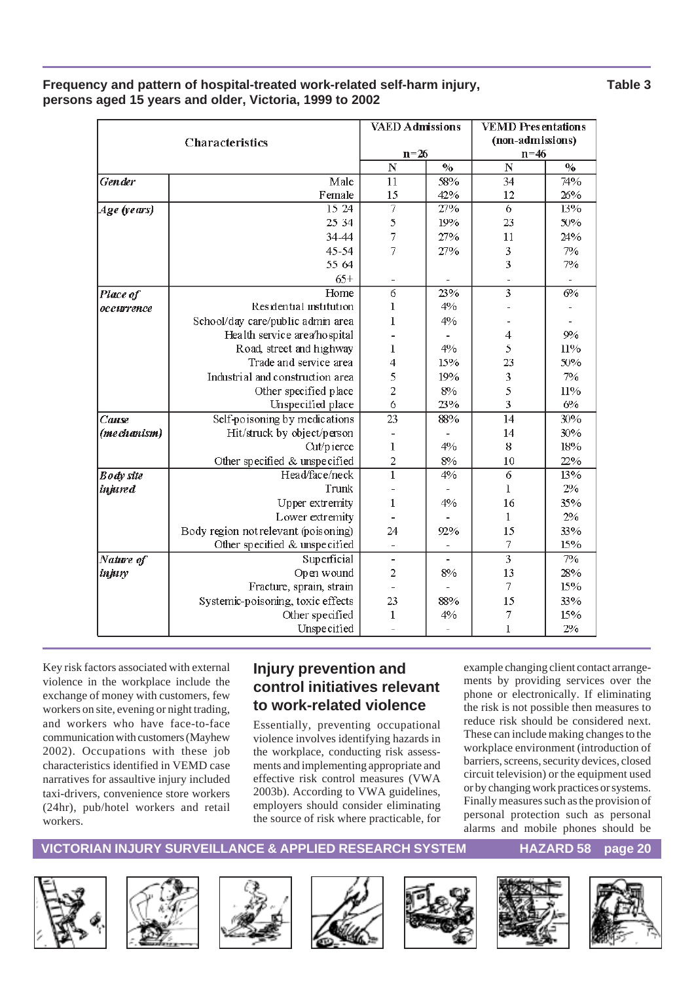|                  | <b>Characteristics</b>               |                          | <b>VAED Admissions</b> | <b>VEMD Presentations</b><br>(non-admissions) |                                    |  |
|------------------|--------------------------------------|--------------------------|------------------------|-----------------------------------------------|------------------------------------|--|
|                  |                                      | $n = 26$                 |                        | $n=46$                                        |                                    |  |
|                  |                                      | $\mathbf N$              | $\frac{0}{0}$          | $\overline{\bf N}$                            | $\mathbf{0}_{\mathbf{0}}^{\prime}$ |  |
| <b>Gen</b> der   | Male                                 | 11                       | 58%                    | 34                                            | 74%                                |  |
|                  | Female                               | 15                       | 42%                    | 12                                            | 26%                                |  |
| Age (years)      | 15 24                                | 7                        | 27%                    | 6                                             | 13%                                |  |
|                  | 25 34                                | 5                        | 19%                    | 23                                            | 50%                                |  |
|                  | 34-44                                | $\overline{7}$           | 27%                    | 11                                            | 24%                                |  |
|                  | $45 - 54$                            | 7                        | 27%                    | 3                                             | 7%                                 |  |
|                  | 55 64                                |                          |                        | 3                                             | 7%                                 |  |
|                  | $65+$                                |                          |                        |                                               |                                    |  |
| Place of         | Home                                 | $\overline{6}$           | 23%                    | $\overline{\overline{3}}$                     | 6%                                 |  |
| occurrence       | Residential institution              | 1                        | 4%                     |                                               |                                    |  |
|                  | School/day care/public admin area    | $\mathbf{1}$             | 4%                     |                                               |                                    |  |
|                  | Health service area/hospital         |                          |                        | $\overline{4}$                                | 9%                                 |  |
|                  | Road, street and highway             | 1                        | $4\%$                  | 5                                             | 11%                                |  |
|                  | Trade and service area               | $\overline{4}$           | 15%                    | 23                                            | 50%                                |  |
|                  | Industrial and construction area     | 5                        | 19%                    | 3                                             | 7%                                 |  |
|                  | Other specified place                | $\overline{c}$           | 8%                     | 5                                             | 11%                                |  |
|                  | Unspecified place                    | 6                        | 23%                    | 3                                             | 6%                                 |  |
| Cause            | Self-poisoning by medications        | $\overline{23}$          | 88%                    | $\overline{14}$                               | 30%                                |  |
| (mechanism)      | Hit/struck by object/person          |                          |                        | 14                                            | 30%                                |  |
|                  | Cut/pierce                           | 1                        | 4%                     | 8                                             | 18%                                |  |
|                  | Other specified & unspecified        | $\overline{c}$           | 8%                     | 10                                            | 22%                                |  |
| <b>Body</b> site | Head/face/neck                       | $\overline{1}$           | 4%                     | 6                                             | 13%                                |  |
| <i>injured</i>   | Trunk                                |                          |                        | 1                                             | $2\%$                              |  |
|                  | Upper extremity                      | $\mathbf{1}$             | 4%                     | 16                                            | 35%                                |  |
|                  | Lower extremity                      |                          |                        | $\mathbf{1}$                                  | 2%                                 |  |
|                  | Body region not relevant (poisoning) | 24                       | 92%                    | 15                                            | 33%                                |  |
|                  | Other specified & unspecified        |                          |                        | 7                                             | 15%                                |  |
| Nature of        | Superficial                          | $\overline{\phantom{0}}$ |                        | $\overline{\overline{3}}$                     | 7%                                 |  |
| injury           | Open wound                           | $\overline{c}$           | 8%                     | 13                                            | 28%                                |  |
|                  | Fracture, sprain, strain             |                          |                        | 7                                             | 15%                                |  |
|                  | Systemic-poisoning, toxic effects    | 23                       | 88%                    | 15                                            | 33%                                |  |
|                  | Other specified                      | 1                        | 4%                     | 7                                             | 15%                                |  |
|                  | Unspecified                          |                          |                        | $\mathbf{I}$                                  | 2%                                 |  |

#### **Frequency and pattern of hospital-treated work-related self-harm injury, Table 3 persons aged 15 years and older, Victoria, 1999 to 2002**

Key risk factors associated with external violence in the workplace include the exchange of money with customers, few workers on site, evening or night trading, and workers who have face-to-face communication with customers (Mayhew 2002). Occupations with these job characteristics identified in VEMD case narratives for assaultive injury included taxi-drivers, convenience store workers (24hr), pub/hotel workers and retail workers.

### **Injury prevention and control initiatives relevant to work-related violence**

Essentially, preventing occupational violence involves identifying hazards in the workplace, conducting risk assessments and implementing appropriate and effective risk control measures (VWA 2003b). According to VWA guidelines, employers should consider eliminating the source of risk where practicable, for example changing client contact arrangements by providing services over the phone or electronically. If eliminating the risk is not possible then measures to reduce risk should be considered next. These can include making changes to the workplace environment (introduction of barriers, screens, security devices, closed circuit television) or the equipment used or by changing work practices or systems. Finally measures such as the provision of personal protection such as personal alarms and mobile phones should be













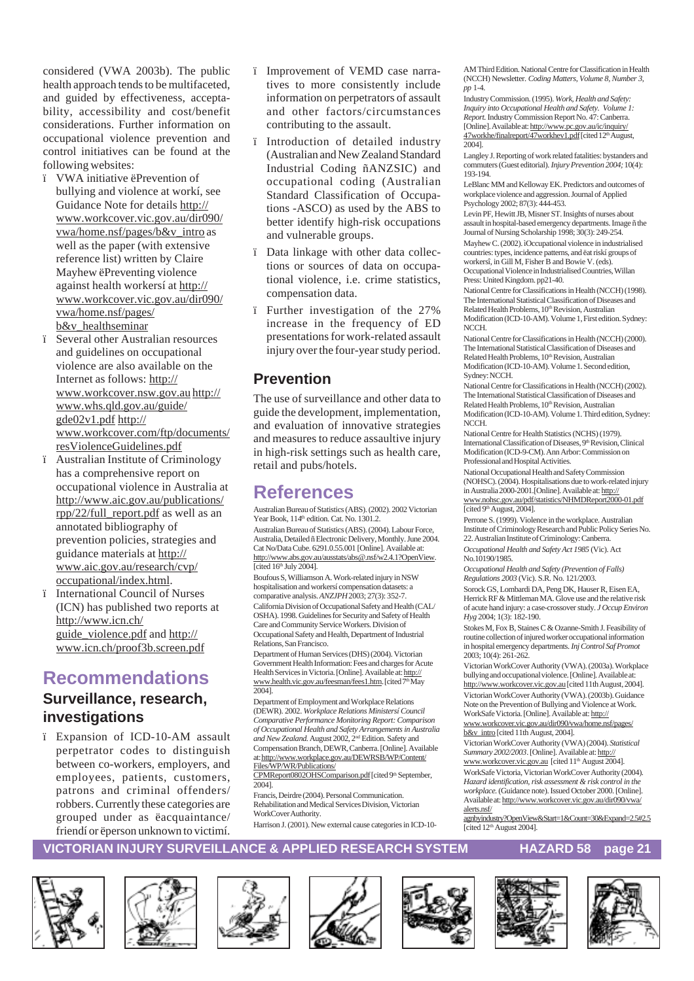considered (VWA 2003b). The public health approach tends to be multifaceted, and guided by effectiveness, acceptability, accessibility and cost/benefit considerations. Further information on occupational violence prevention and control initiatives can be found at the following websites:

- ï VWA initiative ëPrevention of bullying and violence at workí, see Guidance Note for details http:// www.workcover.vic.gov.au/dir090/ vwa/home.nsf/pages/b&v\_intro as well as the paper (with extensive reference list) written by Claire Mayhew ëPreventing violence against health workersí at http:// www.workcover.vic.gov.au/dir090/ vwa/home.nsf/pages/ b&v\_healthseminar
- ï Several other Australian resources and guidelines on occupational violence are also available on the Internet as follows: http:// www.workcover.nsw.gov.au http:// www.whs.qld.gov.au/guide/ gde02v1.pdf http:// www.workcover.com/ftp/documents/ resViolenceGuidelines.pdf
- ï Australian Institute of Criminology has a comprehensive report on occupational violence in Australia at http://www.aic.gov.au/publications/ rpp/22/full\_report.pdf as well as an annotated bibliography of prevention policies, strategies and guidance materials at http:// www.aic.gov.au/research/cvp/ occupational/index.html.
- ï International Council of Nurses (ICN) has published two reports at http://www.icn.ch/ guide\_violence.pdf and http:// www.icn.ch/proof3b.screen.pdf

# **Recommendations**

### **Surveillance, research, investigations**

ï Expansion of ICD-10-AM assault perpetrator codes to distinguish between co-workers, employers, and employees, patients, customers, patrons and criminal offenders/ robbers. Currently these categories are grouped under as ëacquaintance/ friendí or ëperson unknown to victimí.

- ï Improvement of VEMD case narratives to more consistently include information on perpetrators of assault and other factors/circumstances contributing to the assault.
- ï Introduction of detailed industry (Australian and New Zealand Standard Industrial Coding ñANZSIC) and occupational coding (Australian Standard Classification of Occupations -ASCO) as used by the ABS to better identify high-risk occupations and vulnerable groups.
- ï Data linkage with other data collections or sources of data on occupational violence, i.e. crime statistics, compensation data.
- ï Further investigation of the 27% increase in the frequency of ED presentations for work-related assault injury over the four-year study period.

#### **Prevention**

The use of surveillance and other data to guide the development, implementation, and evaluation of innovative strategies and measures to reduce assaultive injury in high-risk settings such as health care, retail and pubs/hotels.

### **References**

Australian Bureau of Statistics (ABS). (2002). 2002 Victorian Year Book,  $114<sup>th</sup>$  edition. Cat. No.  $1301.2$ .

Australian Bureau of Statistics (ABS). (2004). Labour Force, Australia, Detailed ñ Electronic Delivery, Monthly. June 2004. Cat No/Data Cube. 6291.0.55.001 [Online]. Available at: http://www.abs.gov.au/ausstats/abs@.nsf/w2.4.1?OpenView.  $[cited 16<sup>th</sup>$  July 2004].

Boufous S, Williamson A. Work-related injury in NSW hospitalisation and workersí compensation datasets: a comparative analysis. *ANZJPH* 2003; 27(3): 352-7.

California Division of Occupational Safety and Health (CAL/ OSHA). 1998. Guidelines for Security and Safety of Health Care and Community Service Workers. Division of Occupational Safety and Health, Department of Industrial Relations, San Francisco.

Department of Human Services (DHS) (2004). Victorian Government Health Information: Fees and charges for Acute Health Services in Victoria. [Online]. Available at: http:// www.health.vic.gov.au/feesman/fees1.htm. [cited 7<sup>th</sup> May 2004].

Department of Employment and Workplace Relations (DEWR). 2002. *Workplace Relations Ministersí Council Comparative Performance Monitoring Report: Comparison of Occupational Health and Safety Arrangements in Australia and New Zealand.* August 2002, 2nd Edition. Safety and Compensation Branch, DEWR, Canberra. [Online]. Available at: http://www.workplace.gov.au/DEWRSB/WP/Content/ Files/WP/WR/Publications/

CPMReport0802OHSComparison.pdf [cited 9th September,  $2004$ ]. Francis, Deirdre (2004). Personal Communication.

Rehabilitation and Medical Services Division, Victorian WorkCover Authority.

Harrison J. (2001). New external cause categories in ICD-10-

AM Third Edition. National Centre for Classification in Health (NCCH) Newsletter. *Coding Matters, Volume 8, Number 3, pp* 1-4.

Industry Commission. (1995). *Work, Health and Safety: Inquiry into Occupational Health and Safety. Volume 1: Report.* Industry Commission Report No. 47: Canberra. [Online]. Available at: http://www.pc.gov.au/ic/inquiry/ 47workhe/finalreport/47workhev1.pdf [cited 12th August, 2004].

Langley J. Reporting of work related fatalities: bystanders and commuters (Guest editorial). *Injury Prevention 2004;* 10(4): 193-194.

LeBlanc MM and Kelloway EK. Predictors and outcomes of workplace violence and aggression. Journal of Applied Psychology 2002; 87(3): 444-453.

Levin PF, Hewitt JB, Misner ST. Insights of nurses about assault in hospital-based emergency departments. Image ñ the Journal of Nursing Scholarship 1998; 30(3): 249-254.

Mayhew C. (2002). ìOccupational violence in industrialised countries: types, incidence patterns, and ëat riskí groups of workersî, in Gill M, Fisher B and Bowie V. (eds). Occupational Violence in Industrialised Countries, Willan Press: United Kingdom. pp21-40.

National Centre for Classifications in Health (NCCH) (1998). The International Statistical Classification of Diseases and Related Health Problems, 10<sup>th</sup> Revision, Australian Modification (ICD-10-AM). Volume 1, First edition. Sydney: NCCH.

National Centre for Classifications in Health (NCCH) (2000). The International Statistical Classification of Diseases and Related Health Problems, 10<sup>th</sup> Revision, Australian Modification (ICD-10-AM). Volume 1. Second edition, Sydney: NCCH.

National Centre for Classifications in Health (NCCH) (2002). The International Statistical Classification of Diseases and Related Health Problems, 10<sup>th</sup> Revision, Australian Modification (ICD-10-AM). Volume 1. Third edition, Sydney: NCCH.

National Centre for Health Statistics (NCHS) (1979). International Classification of Diseases, 9<sup>th</sup> Revision, Clinical Modification (ICD-9-CM). Ann Arbor: Commission on Professional and Hospital Activities.

National Occupational Health and Safety Commission (NOHSC). (2004). Hospitalisations due to work-related injury in Australia 2000-2001.[Online]. Available at: http:// www.nohsc.gov.au/pdf/statistics/NHMDReport2000-01.pdf [cited 9<sup>th</sup> August, 2004].

Perrone S. (1999). Violence in the workplace. Australian Institute of Criminology Research and Public Policy Series No. 22. Australian Institute of Criminology: Canberra.

*Occupational Health and Safety Act 1985* (Vic). Act No.10190/1985.

*Occupational Health and Safety (Prevention of Falls) Regulations 2003* (Vic). S.R. No. 121/2003.

Sorock GS, Lombardi DA, Peng DK, Hauser R, Eisen EA, Herrick RF & Mittleman MA. Glove use and the relative risk of acute hand injury: a case-crossover study. *J Occup Environ Hyg* 2004; 1(3): 182-190.

Stokes M, Fox B, Staines C & Ozanne-Smith J. Feasibility of routine collection of injured worker occupational information in hospital emergency departments. *Inj Control Saf Promot* 2003; 10(4): 261-262.

Victorian WorkCover Authority (VWA). (2003a). Workplace bullying and occupational violence. [Online]. Available at: http://www.workcover.vic.gov.au [cited 11th August, 2004]. Victorian WorkCover Authority (VWA). (2003b). Guidance Note on the Prevention of Bullying and Violence at Work. WorkSafe Victoria. [Online]. Available at: http://

www.workcover.vic.gov.au/dir090/vwa/home.nsf/pages/ b&v\_intro [cited 11th August, 2004].

Victorian WorkCover Authority (VWA) (2004). *Statistical Summary 2002/2003*. [Online]. Available at: http:// www.workcover.vic.gov.au [cited 11<sup>th</sup> August 2004]. WorkSafe Victoria, Victorian WorkCover Authority (2004). *Hazard identification, risk assessment & risk control in the workplace.* (Guidance note). Issued October 2000. [Online]. Available at: http://www.workcover.vic.gov.au/dir090/vwa/ alerts.nsf/

agnbyindustry?OpenView&Start=1&Count=30&Expand=2.5#2.5 [cited  $12<sup>th</sup>$  August 2004].













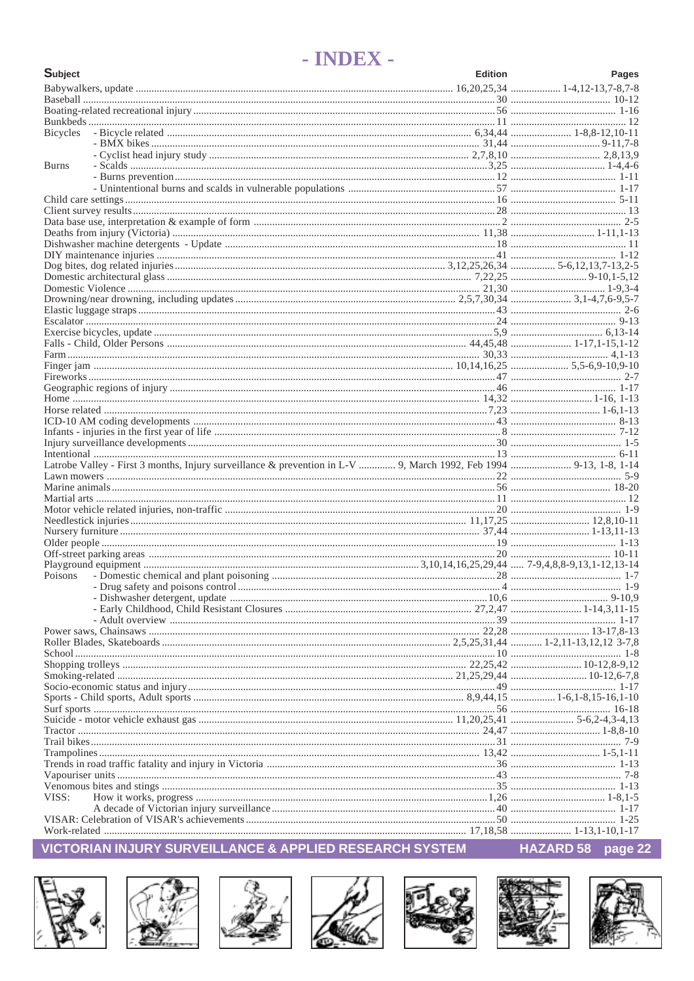# - INDEX -

| <b>Subject</b>                                                                                                     | <b>Edition</b> | Pages    |
|--------------------------------------------------------------------------------------------------------------------|----------------|----------|
|                                                                                                                    |                |          |
|                                                                                                                    |                |          |
|                                                                                                                    |                |          |
|                                                                                                                    |                |          |
| <b>Bicycles</b>                                                                                                    |                |          |
|                                                                                                                    |                |          |
|                                                                                                                    |                |          |
| <b>Burns</b>                                                                                                       |                |          |
|                                                                                                                    |                |          |
|                                                                                                                    |                |          |
|                                                                                                                    |                |          |
|                                                                                                                    |                |          |
|                                                                                                                    |                |          |
|                                                                                                                    |                |          |
|                                                                                                                    |                |          |
|                                                                                                                    |                |          |
|                                                                                                                    |                |          |
|                                                                                                                    |                |          |
|                                                                                                                    |                |          |
|                                                                                                                    |                |          |
|                                                                                                                    |                |          |
|                                                                                                                    |                | $9 - 13$ |
|                                                                                                                    |                |          |
|                                                                                                                    |                |          |
|                                                                                                                    |                |          |
|                                                                                                                    |                |          |
|                                                                                                                    |                |          |
|                                                                                                                    |                |          |
|                                                                                                                    |                |          |
|                                                                                                                    |                |          |
|                                                                                                                    |                |          |
|                                                                                                                    |                |          |
|                                                                                                                    |                |          |
|                                                                                                                    |                |          |
|                                                                                                                    |                |          |
| Latrobe Valley - First 3 months, Injury surveillance & prevention in L-V  9, March 1992, Feb 1994  9-13, 1-8, 1-14 |                |          |
|                                                                                                                    |                |          |
|                                                                                                                    |                |          |
|                                                                                                                    |                |          |
|                                                                                                                    |                |          |
|                                                                                                                    |                |          |
|                                                                                                                    |                |          |
|                                                                                                                    |                |          |
|                                                                                                                    |                |          |
|                                                                                                                    |                |          |
| Poisons                                                                                                            |                |          |
|                                                                                                                    |                |          |
|                                                                                                                    |                |          |
|                                                                                                                    |                |          |
|                                                                                                                    |                |          |
|                                                                                                                    |                |          |
|                                                                                                                    |                |          |
|                                                                                                                    |                |          |
|                                                                                                                    |                |          |
|                                                                                                                    |                |          |
|                                                                                                                    |                |          |
|                                                                                                                    |                |          |
|                                                                                                                    |                |          |
|                                                                                                                    |                |          |
|                                                                                                                    |                |          |
|                                                                                                                    |                |          |
|                                                                                                                    |                |          |
|                                                                                                                    |                |          |
|                                                                                                                    |                |          |
|                                                                                                                    |                |          |
| VISS:                                                                                                              |                |          |
|                                                                                                                    |                |          |
|                                                                                                                    |                |          |
|                                                                                                                    |                |          |

### VICTORIAN INJURY SURVEILLANCE & APPLIED RESEARCH SYSTEM















HAZARD 58 page 22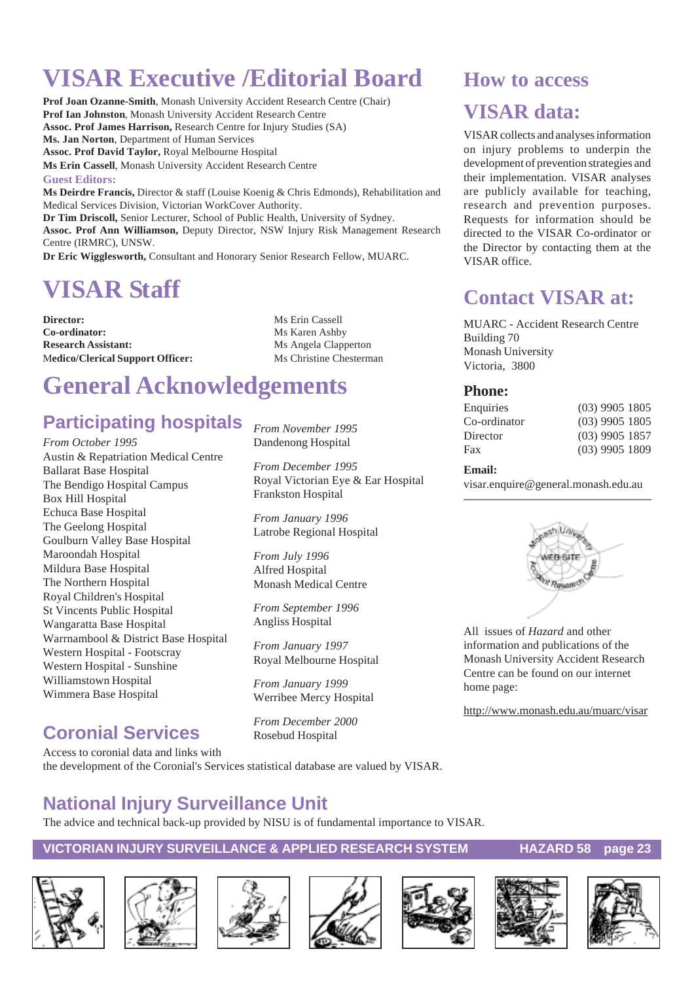# **VISAR Executive /Editorial Board**

**Prof Joan Ozanne-Smith**, Monash University Accident Research Centre (Chair) **Prof Ian Johnston**, Monash University Accident Research Centre **Assoc. Prof James Harrison,** Research Centre for Injury Studies (SA) **Ms. Jan Norton**, Department of Human Services **Assoc. Prof David Taylor,** Royal Melbourne Hospital **Ms Erin Cassell**, Monash University Accident Research Centre **Guest Editors: Ms Deirdre Francis,** Director & staff (Louise Koenig & Chris Edmonds), Rehabilitation and Medical Services Division, Victorian WorkCover Authority. **Dr Tim Driscoll,** Senior Lecturer, School of Public Health, University of Sydney. **Assoc. Prof Ann Williamson,** Deputy Director, NSW Injury Risk Management Research Centre (IRMRC), UNSW.

**Dr Eric Wigglesworth,** Consultant and Honorary Senior Research Fellow, MUARC.

# **VISAR Staff**

**Director:** Ms Erin Cassell **Co-ordinator:** Ms Karen Ashby **Research Assistant:** Ms Angela Clapperton Medico/Clerical Support Officer: Ms Christine Chesterman

# **General Acknowledgements**

# **Participating hospitals**

*From October 1995* Austin & Repatriation Medical Centre Ballarat Base Hospital The Bendigo Hospital Campus Box Hill Hospital Echuca Base Hospital The Geelong Hospital Goulburn Valley Base Hospital Maroondah Hospital Mildura Base Hospital The Northern Hospital Royal Children's Hospital St Vincents Public Hospital Wangaratta Base Hospital Warrnambool & District Base Hospital Western Hospital - Footscray Western Hospital - Sunshine Williamstown Hospital Wimmera Base Hospital

# **Coronial Services**

Access to coronial data and links with the development of the Coronial's Services statistical database are valued by VISAR.

# **National Injury Surveillance Unit**

The advice and technical back-up provided by NISU is of fundamental importance to VISAR.

#### **VICTORIAN INJURY SURVEILLANCE & APPLIED RESEARCH SYSTEM HAZARD 58 page 23**















## **How to access**

# **VISAR data:**

VISAR collects and analyses information on injury problems to underpin the development of prevention strategies and their implementation. VISAR analyses are publicly available for teaching, research and prevention purposes. Requests for information should be directed to the VISAR Co-ordinator or the Director by contacting them at the VISAR office.

# **Contact VISAR at:**

MUARC - Accident Research Centre Building 70 Monash University Victoria, 3800

#### **Phone:**

| Enquiries    | $(03)$ 9905 1805 |
|--------------|------------------|
| Co-ordinator | $(03)$ 9905 1805 |
| Director     | $(03)$ 9905 1857 |
| Fax          | $(03)$ 9905 1809 |
|              |                  |

#### **Email:**

visar.enquire@general.monash.edu.au



All issues of *Hazard* and other information and publications of the Monash University Accident Research Centre can be found on our internet home page:

http://www.monash.edu.au/muarc/visar

*From November 1995* Dandenong Hospital

*From December 1995* Royal Victorian Eye & Ear Hospital Frankston Hospital

*From January 1996* Latrobe Regional Hospital

*From July 1996* Alfred Hospital Monash Medical Centre

*From September 1996* Angliss Hospital

*From January 1997* Royal Melbourne Hospital

*From January 1999* Werribee Mercy Hospital

*From December 2000* Rosebud Hospital